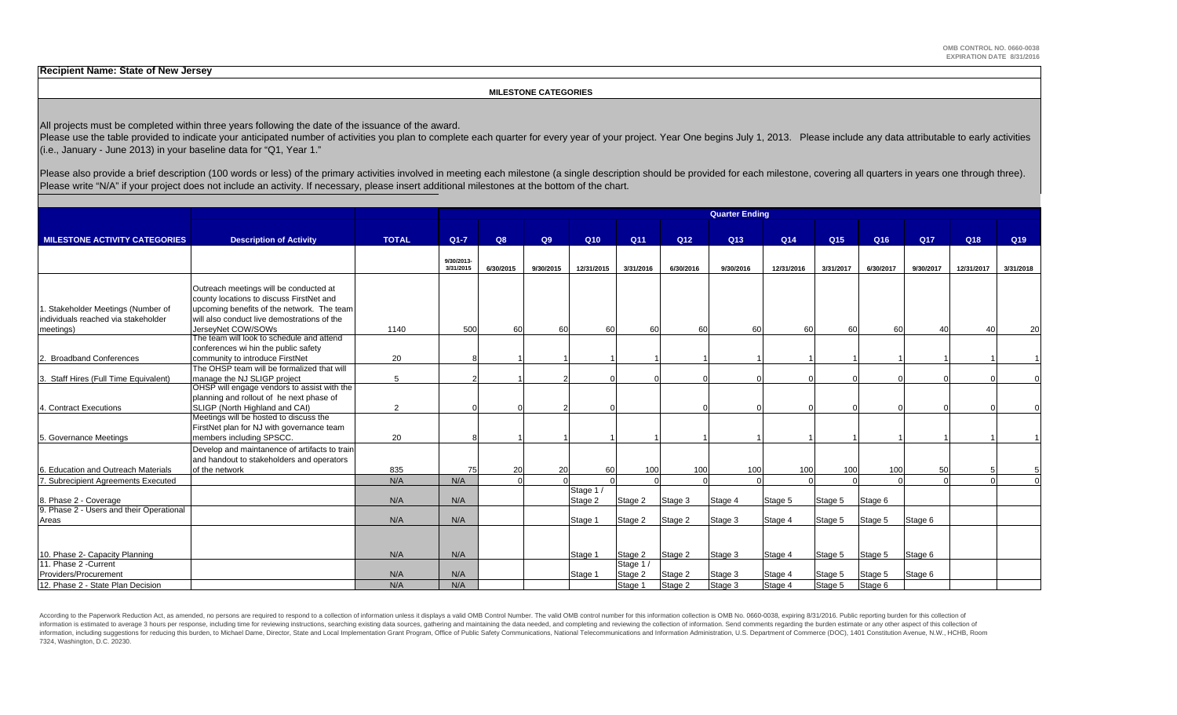**Recipient Name: State of New Jersey**

#### **MILESTONE CATEGORIES**

All projects must be completed within three years following the date of the issuance of the award.

Please use the table provided to indicate your anticipated number of activities you plan to complete each quarter for every year of your project. Year One begins July 1, 2013. Please include any data attributable to early (i.e., January - June 2013) in your baseline data for "Q1, Year 1."

Please also provide a brief description (100 words or less) of the primary activities involved in meeting each milestone (a single description should be provided for each milestone, covering all quarters in years one throu Please write "N/A" if your project does not include an activity. If necessary, please insert additional milestones at the bottom of the chart.

|                                                   |                                               |              |                         |           |           |                 |           |                 | <b>Quarter Ending</b> |            |                 |           |                 |            |                 |
|---------------------------------------------------|-----------------------------------------------|--------------|-------------------------|-----------|-----------|-----------------|-----------|-----------------|-----------------------|------------|-----------------|-----------|-----------------|------------|-----------------|
|                                                   |                                               |              |                         |           |           |                 |           |                 |                       |            |                 |           |                 |            |                 |
| <b>MILESTONE ACTIVITY CATEGORIES</b>              | <b>Description of Activity</b>                | <b>TOTAL</b> | $Q1 - 7$                | Q8        | Q9        | Q <sub>10</sub> | Q11       | Q <sub>12</sub> | Q13                   | Q14        | Q <sub>15</sub> | Q16       | Q <sub>17</sub> | Q18        | Q <sub>19</sub> |
|                                                   |                                               |              |                         |           |           |                 |           |                 |                       |            |                 |           |                 |            |                 |
|                                                   |                                               |              | 9/30/2013-<br>3/31/2015 | 6/30/2015 | 9/30/2015 | 12/31/2015      | 3/31/2016 | 6/30/2016       | 9/30/2016             | 12/31/2016 | 3/31/2017       | 6/30/2017 | 9/30/2017       | 12/31/2017 | 3/31/2018       |
|                                                   |                                               |              |                         |           |           |                 |           |                 |                       |            |                 |           |                 |            |                 |
|                                                   | Outreach meetings will be conducted at        |              |                         |           |           |                 |           |                 |                       |            |                 |           |                 |            |                 |
|                                                   | county locations to discuss FirstNet and      |              |                         |           |           |                 |           |                 |                       |            |                 |           |                 |            |                 |
| . Stakeholder Meetings (Number of                 | upcoming benefits of the network. The team    |              |                         |           |           |                 |           |                 |                       |            |                 |           |                 |            |                 |
| individuals reached via stakeholder               | will also conduct live demostrations of the   |              |                         |           |           |                 |           |                 |                       |            |                 |           |                 |            |                 |
| meetings)                                         | JersevNet COW/SOWs                            | 1140         | 500                     | 60        | 60        | 60              | 60        | 60              | 60                    | 60         | 60              | 60        | 40              |            | 20              |
|                                                   | The team will look to schedule and attend     |              |                         |           |           |                 |           |                 |                       |            |                 |           |                 |            |                 |
|                                                   | conferences wi hin the public safety          |              |                         |           |           |                 |           |                 |                       |            |                 |           |                 |            |                 |
| <b>Broadband Conferences</b>                      | community to introduce FirstNet               | 20           |                         |           |           |                 |           |                 |                       |            |                 |           |                 |            |                 |
|                                                   | The OHSP team will be formalized that will    |              |                         |           |           |                 |           |                 |                       |            |                 |           |                 |            |                 |
| 3. Staff Hires (Full Time Equivalent)             | manage the NJ SLIGP project                   | 5            |                         |           |           |                 |           |                 |                       |            |                 |           |                 |            |                 |
|                                                   | OHSP will engage vendors to assist with the   |              |                         |           |           |                 |           |                 |                       |            |                 |           |                 |            |                 |
|                                                   | planning and rollout of he next phase of      |              |                         |           |           |                 |           |                 |                       |            |                 |           |                 |            |                 |
| 4. Contract Executions                            | SLIGP (North Highland and CAI)                | 2            |                         |           |           |                 |           |                 |                       |            |                 |           |                 |            |                 |
|                                                   | Meetings will be hosted to discuss the        |              |                         |           |           |                 |           |                 |                       |            |                 |           |                 |            |                 |
|                                                   | FirstNet plan for NJ with governance team     |              |                         |           |           |                 |           |                 |                       |            |                 |           |                 |            |                 |
| 5. Governance Meetings                            | members including SPSCC.                      | 20           |                         |           |           |                 |           |                 |                       |            |                 |           |                 |            |                 |
|                                                   | Develop and maintanence of artifacts to train |              |                         |           |           |                 |           |                 |                       |            |                 |           |                 |            |                 |
|                                                   | and handout to stakeholders and operators     |              |                         |           |           |                 |           |                 |                       |            |                 |           |                 |            |                 |
| 6. Education and Outreach Materials               | of the network                                | 835          | 75                      | 20        | 20        | 60              | 100       | 100             | 100                   | 100        | 100             | 100       | 50              |            |                 |
| 7. Subrecipient Agreements Executed               |                                               | N/A          | N/A                     |           |           |                 |           |                 |                       |            |                 |           |                 |            |                 |
|                                                   |                                               |              |                         |           |           | Stage 1/        |           |                 |                       |            |                 |           |                 |            |                 |
| 8. Phase 2 - Coverage                             |                                               | N/A          | N/A                     |           |           | Stage 2         | Stage 2   | Stage 3         | Stage 4               | Stage 5    | Stage 5         | Stage 6   |                 |            |                 |
| 9. Phase 2 - Users and their Operational<br>Areas |                                               | N/A          | N/A                     |           |           |                 |           |                 |                       |            |                 |           |                 |            |                 |
|                                                   |                                               |              |                         |           |           | Stage 1         | Stage 2   | Stage 2         | Stage 3               | Stage 4    | Stage 5         | Stage 5   | Stage 6         |            |                 |
|                                                   |                                               |              |                         |           |           |                 |           |                 |                       |            |                 |           |                 |            |                 |
|                                                   |                                               |              |                         |           |           |                 |           |                 |                       |            |                 |           |                 |            |                 |
| 10. Phase 2- Capacity Planning                    |                                               | N/A          | N/A                     |           |           | Stage 1         | Stage 2   | Stage 2         | Stage 3               | Stage 4    | Stage 5         | Stage 5   | Stage 6         |            |                 |
| 11. Phase 2 - Current                             |                                               |              |                         |           |           |                 | Stage 1/  |                 |                       |            |                 |           |                 |            |                 |
| Providers/Procurement                             |                                               | N/A          | N/A                     |           |           | Stage 1         | Stage 2   | Stage 2         | Stage 3               | Stage 4    | Stage 5         | Stage 5   | Stage 6         |            |                 |
| 12. Phase 2 - State Plan Decision                 |                                               | N/A          | N/A                     |           |           |                 | Stage 1   | Stage 2         | Stage 3               | Stage 4    | Stage 5         | Stage 6   |                 |            |                 |

According to the Paperwork Reduction Act, as amended, no persons are required to respond to a collection of information unless it displays a valid OMB Control Number. The valid OMB control number for this information colle information is estimated to average 3 hours per response, including time for reviewing instructions, searching existing data sources, gathering and maintaining the data needed, and completing and reviewing the collection o 7324, Washington, D.C. 20230.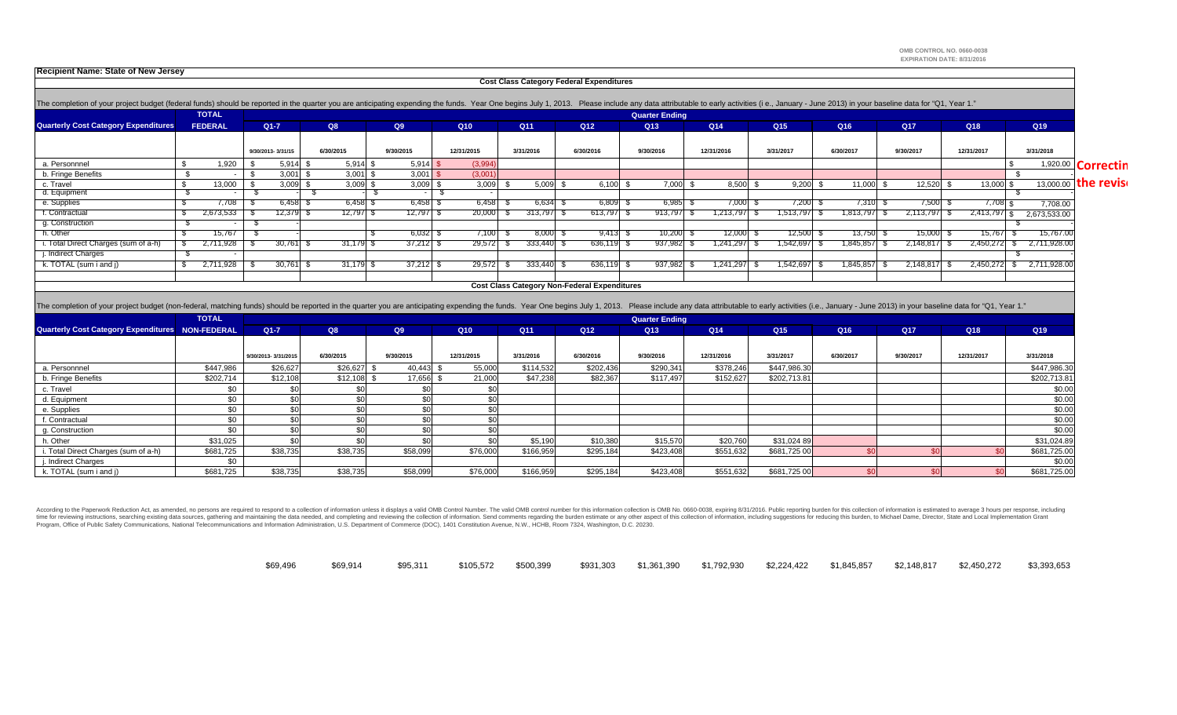**OMB CONTROL NO. 0660-0038 EXPIRATION DATE: 8/31/2016**

**Recipient Name: State of New Jersey**

|                                                                                                                                                                                                                                |     | <b>TOTAL</b>   |                   |           |            |           |                 |                 |                                                     | <b>Quarter Ending</b> |            |                 |           |                 |               |                                 |
|--------------------------------------------------------------------------------------------------------------------------------------------------------------------------------------------------------------------------------|-----|----------------|-------------------|-----------|------------|-----------|-----------------|-----------------|-----------------------------------------------------|-----------------------|------------|-----------------|-----------|-----------------|---------------|---------------------------------|
| <b>Quarterly Cost Category Expenditures</b>                                                                                                                                                                                    |     | <b>FEDERAL</b> | $Q1 - 7$          | Q8        |            | Q9        | Q10             | Q <sub>11</sub> | Q <sub>12</sub>                                     | Q <sub>13</sub>       | Q14        | Q <sub>15</sub> | Q16       | Q <sub>17</sub> | Q18           | Q19                             |
|                                                                                                                                                                                                                                |     |                |                   |           |            |           |                 |                 |                                                     |                       |            |                 |           |                 |               |                                 |
|                                                                                                                                                                                                                                |     |                | 9/30/2013-3/31/15 | 6/30/2015 |            | 9/30/2015 | 12/31/2015      | 3/31/2016       | 6/30/2016                                           | 9/30/2016             | 12/31/2016 | 3/31/2017       | 6/30/2017 | 9/30/2017       | 12/31/2017    | 3/31/2018                       |
| a. Personnnel                                                                                                                                                                                                                  | \$. | 1,920          | $5,914$ \$        |           | $5,914$ \$ | 5,914     | (3,994)         |                 |                                                     |                       |            |                 |           |                 |               | $\overline{1,920.00}$ Correctin |
| b. Fringe Benefits                                                                                                                                                                                                             |     |                | 3,001             | - \$      | $3,001$ \$ | 3,001     | (3,001)         |                 |                                                     |                       |            |                 |           |                 |               |                                 |
| c. Travel                                                                                                                                                                                                                      | \$  | 13.000         | $3,009$ \$        |           | $3,009$ \$ | 3,009     | 3,009           | 5.009           | 6.100                                               | 7,000                 | 8,500      | 9.200           | 11,000 \$ | 12,520 \$       | 13,000 \$     | 13,000.00 the revise            |
| d. Equipment                                                                                                                                                                                                                   |     |                |                   |           |            |           |                 |                 |                                                     |                       |            |                 |           |                 |               |                                 |
| e. Supplies                                                                                                                                                                                                                    |     | 7,708          | 6,458 \$          |           | $6,458$ \$ | 6,458     | 6,458           | 6,634           | $6,809$ \$                                          | 6,985                 | 7,000      | 7,200           | 7,310 \$  | 7,500 \$        | $7,708$ \$    | 7,708.00                        |
| f. Contractual                                                                                                                                                                                                                 |     | 2,673,533      | 12,379 \$         |           | 12,797 \$  | 12,7971   | 20,000          | 313,797         | 613,797 \$                                          | 913,797               | 1,213,797  | 1,513,797       | 1,813,797 | 2,113,797       | 2,413,797     | 2,673,533.00                    |
| g. Construction                                                                                                                                                                                                                |     |                |                   |           |            |           |                 |                 |                                                     |                       |            |                 |           |                 |               |                                 |
| h. Other                                                                                                                                                                                                                       |     | 15.767         |                   |           |            | 6,032     | 7,100           | 8.000           | $9.413$ $\bar{5}$                                   | 10,200                | 12,000     | 12,500          | 13.750 \$ | 15,000          | 15.767 S      | 15.767.00                       |
| i. Total Direct Charges (sum of a-h)                                                                                                                                                                                           |     | 2,711,928      | 30,761            |           | 31,179     | 37,212    | 29,572          | 333,440         | 636,119                                             | 937,982               | 1,241,297  | 1,542,697       | 1,845,857 | 2,148,817       | 2,450,272     | 2,711,928.00                    |
| j. Indirect Charges                                                                                                                                                                                                            |     |                |                   |           |            |           |                 |                 |                                                     |                       |            |                 |           |                 |               |                                 |
| k. TOTAL (sum i and i)                                                                                                                                                                                                         |     | 2.711.928      | 30,761            |           | 31.179     | 37,212    | 29.572          | 333.440         | 636.119                                             | 937.982               | 1.241.297  | 1.542.697       | 1.845.857 | 2.148.817       | $2.450.272$ S | 2.711.928.00                    |
|                                                                                                                                                                                                                                |     |                |                   |           |            |           |                 |                 |                                                     |                       |            |                 |           |                 |               |                                 |
|                                                                                                                                                                                                                                |     |                |                   |           |            |           |                 |                 | <b>Cost Class Category Non-Federal Expenditures</b> |                       |            |                 |           |                 |               |                                 |
|                                                                                                                                                                                                                                |     |                |                   |           |            |           |                 |                 |                                                     |                       |            |                 |           |                 |               |                                 |
| The completion of your project budget (non-federal, matching funds) should be reported in the quarter you are anticipating expending the funds. Year One begins July 1, 2013. Please include any data attributable to early ac |     |                |                   |           |            |           |                 |                 |                                                     |                       |            |                 |           |                 |               |                                 |
|                                                                                                                                                                                                                                |     | <b>TOTAL</b>   |                   |           |            |           |                 |                 |                                                     | <b>Quarter Ending</b> |            |                 |           |                 |               |                                 |
| <b>Quarterly Cost Category Expenditures NON-FEDERAL</b>                                                                                                                                                                        |     |                | $Q1 - 7$          | Q8        |            | Q9        | Q <sub>10</sub> | Q11             | Q <sub>12</sub>                                     | Q <sub>13</sub>       | Q14        | Q15             | Q16       | Q <sub>17</sub> | Q18           | Q19                             |

| a. Personnnel                        | \$447,986 | \$26,627 | \$26,627 | 40,443   | 55,000   | \$114,532 | \$202,436 | \$290,341 | \$378,246 | \$447,986.30 |  | \$447,986.30 |
|--------------------------------------|-----------|----------|----------|----------|----------|-----------|-----------|-----------|-----------|--------------|--|--------------|
| b. Fringe Benefits                   | \$202,714 | \$12,108 | \$12,108 | 17,656   | 21,000   | \$47,238  | \$82,367  | \$117,497 | \$152,627 | \$202,713.81 |  | \$202,713.81 |
| c. Travel                            |           |          |          |          |          |           |           |           |           |              |  | \$0.00       |
| d. Equipment                         | \$0       |          |          |          |          |           |           |           |           |              |  | \$0.00       |
| e. Supplies                          |           |          |          |          |          |           |           |           |           |              |  | \$0.00       |
| f. Contractual                       |           |          |          |          |          |           |           |           |           |              |  | \$0.00       |
| g. Construction                      |           |          |          |          |          |           |           |           |           |              |  | \$0.00       |
| h. Other                             | \$31,025  |          |          |          |          | \$5,190   | \$10,380  | \$15,570  | \$20,760  | \$31,024 89  |  | \$31,024.89  |
| i. Total Direct Charges (sum of a-h) | \$681,725 | \$38,735 | \$38,735 | \$58,099 | \$76,000 | \$166,959 | \$295,184 | \$423,408 | \$551,632 | \$681,725 00 |  | \$681,725.00 |
| j. Indirect Charges                  |           |          |          |          |          |           |           |           |           |              |  | \$0.00       |
| k. TOTAL (sum i and j)               | \$681,725 | \$38,735 | \$38,735 | \$58,099 | \$76,000 | \$166,959 | \$295,184 | \$423,408 | \$551,632 | \$681,725 00 |  | \$681,725.00 |

According to the Paperwork Reduction Act, as amended, no persons are required to respond to a collection of information unless it displays a valid OMB Control Number. The valid OMB control number for this information colle time for reviewing instructions, searching existing data sources, gathering and maintalning the data needed, and completing and reviewing the collection of information. Send comments regarding the burden estimate or any ot Program, Office of Public Safety Communications, National Telecommunications and Information Administration, U.S. Department of Commerce (DOC), 1401 Constitution Avenue, N.W., HCHB, Room 7324, Washington, D.C. 20230.

| \$69,496 | \$69,914 |  |  |  |  | \$95,311    \$105,572   \$500,399    \$931,303   \$1,361,390   \$1,792,930   \$2,224,422   \$1,845,857   \$2,148,817   \$2,450,272    \$3,393,653 |  |
|----------|----------|--|--|--|--|---------------------------------------------------------------------------------------------------------------------------------------------------|--|
|          |          |  |  |  |  |                                                                                                                                                   |  |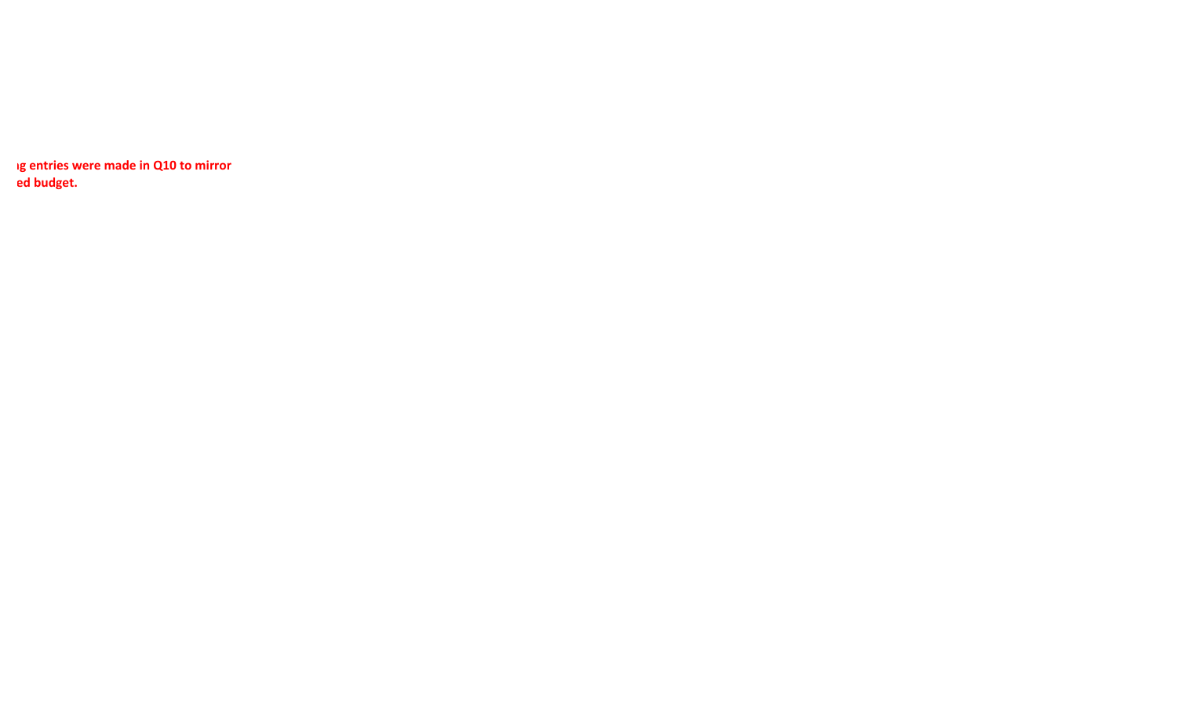**ng entries were made in Q10 to mirror ed budget.**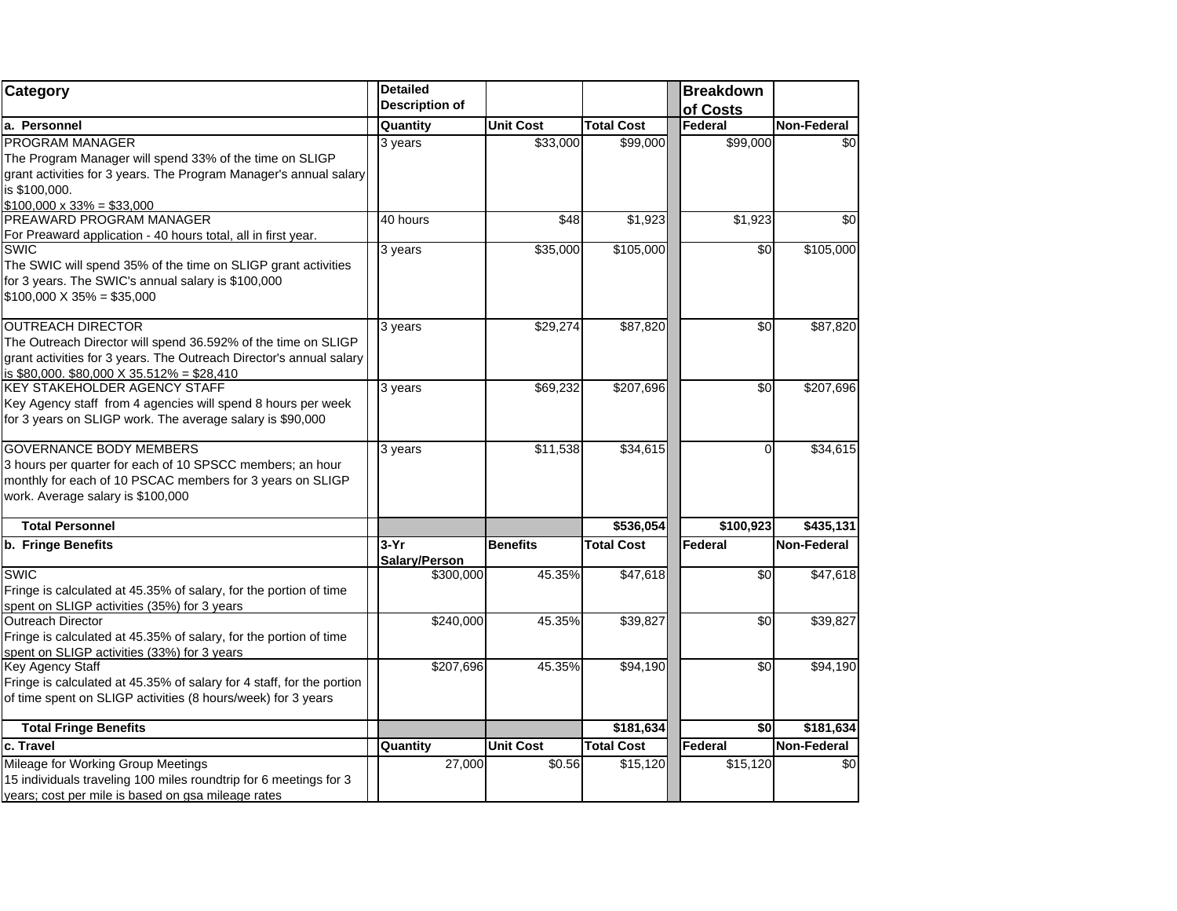| Category                                                                                                                                                                                                       | <b>Detailed</b>         |                  |                   | <b>Breakdown</b> |                 |
|----------------------------------------------------------------------------------------------------------------------------------------------------------------------------------------------------------------|-------------------------|------------------|-------------------|------------------|-----------------|
|                                                                                                                                                                                                                | <b>Description of</b>   |                  |                   | of Costs         |                 |
| a. Personnel                                                                                                                                                                                                   | Quantity                | <b>Unit Cost</b> | <b>Total Cost</b> | Federal          | Non-Federal     |
| PROGRAM MANAGER<br>The Program Manager will spend 33% of the time on SLIGP<br>grant activities for 3 years. The Program Manager's annual salary<br>is \$100,000.<br>$$100,000 \times 33\% = $33,000$           | 3 years                 | \$33,000         | \$99,000          | \$99,000         | $\overline{50}$ |
| PREAWARD PROGRAM MANAGER<br>For Preaward application - 40 hours total, all in first year.                                                                                                                      | 40 hours                | \$48             | \$1,923           | \$1,923          | \$0             |
| <b>SWIC</b><br>The SWIC will spend 35% of the time on SLIGP grant activities<br>for 3 years. The SWIC's annual salary is \$100,000<br>$$100,000 \times 35\% = $35,000$                                         | 3 years                 | \$35,000         | \$105,000         | \$0              | \$105,000       |
| <b>OUTREACH DIRECTOR</b><br>The Outreach Director will spend 36.592% of the time on SLIGP<br>grant activities for 3 years. The Outreach Director's annual salary<br>is \$80,000. \$80,000 X 35.512% = \$28,410 | 3 years                 | \$29,274         | \$87,820          | \$0              | \$87,820        |
| <b>KEY STAKEHOLDER AGENCY STAFF</b><br>Key Agency staff from 4 agencies will spend 8 hours per week<br>for 3 years on SLIGP work. The average salary is \$90,000                                               | 3 years                 | \$69,232         | \$207,696         | \$0              | \$207,696       |
| <b>GOVERNANCE BODY MEMBERS</b><br>3 hours per quarter for each of 10 SPSCC members; an hour<br>monthly for each of 10 PSCAC members for 3 years on SLIGP<br>work. Average salary is \$100,000                  | 3 years                 | \$11,538         | \$34,615          | $\Omega$         | \$34,615        |
| <b>Total Personnel</b>                                                                                                                                                                                         |                         |                  | \$536,054         | \$100,923        | \$435,131       |
| b. Fringe Benefits                                                                                                                                                                                             | $3-Yr$<br>Salary/Person | <b>Benefits</b>  | <b>Total Cost</b> | Federal          | Non-Federal     |
| <b>SWIC</b><br>Fringe is calculated at 45.35% of salary, for the portion of time<br>spent on SLIGP activities (35%) for 3 years                                                                                | \$300,000               | 45.35%           | \$47,618          | \$0              | \$47,618        |
| <b>Outreach Director</b><br>Fringe is calculated at 45.35% of salary, for the portion of time<br>spent on SLIGP activities (33%) for 3 years                                                                   | \$240,000               | 45.35%           | \$39,827          | $\sqrt{6}$       | \$39,827        |
| Key Agency Staff<br>Fringe is calculated at 45.35% of salary for 4 staff, for the portion<br>of time spent on SLIGP activities (8 hours/week) for 3 years                                                      | \$207,696               | 45.35%           | \$94,190          | \$0              | \$94,190        |
| <b>Total Fringe Benefits</b>                                                                                                                                                                                   |                         |                  | $\sqrt{$181,634}$ | \$0              | \$181,634       |
| c. Travel                                                                                                                                                                                                      | Quantity                | <b>Unit Cost</b> | <b>Total Cost</b> | Federal          | Non-Federal     |
| Mileage for Working Group Meetings<br>15 individuals traveling 100 miles roundtrip for 6 meetings for 3<br>years; cost per mile is based on gsa mileage rates                                                  | 27,000                  | \$0.56           | \$15,120          | \$15,120         | \$0             |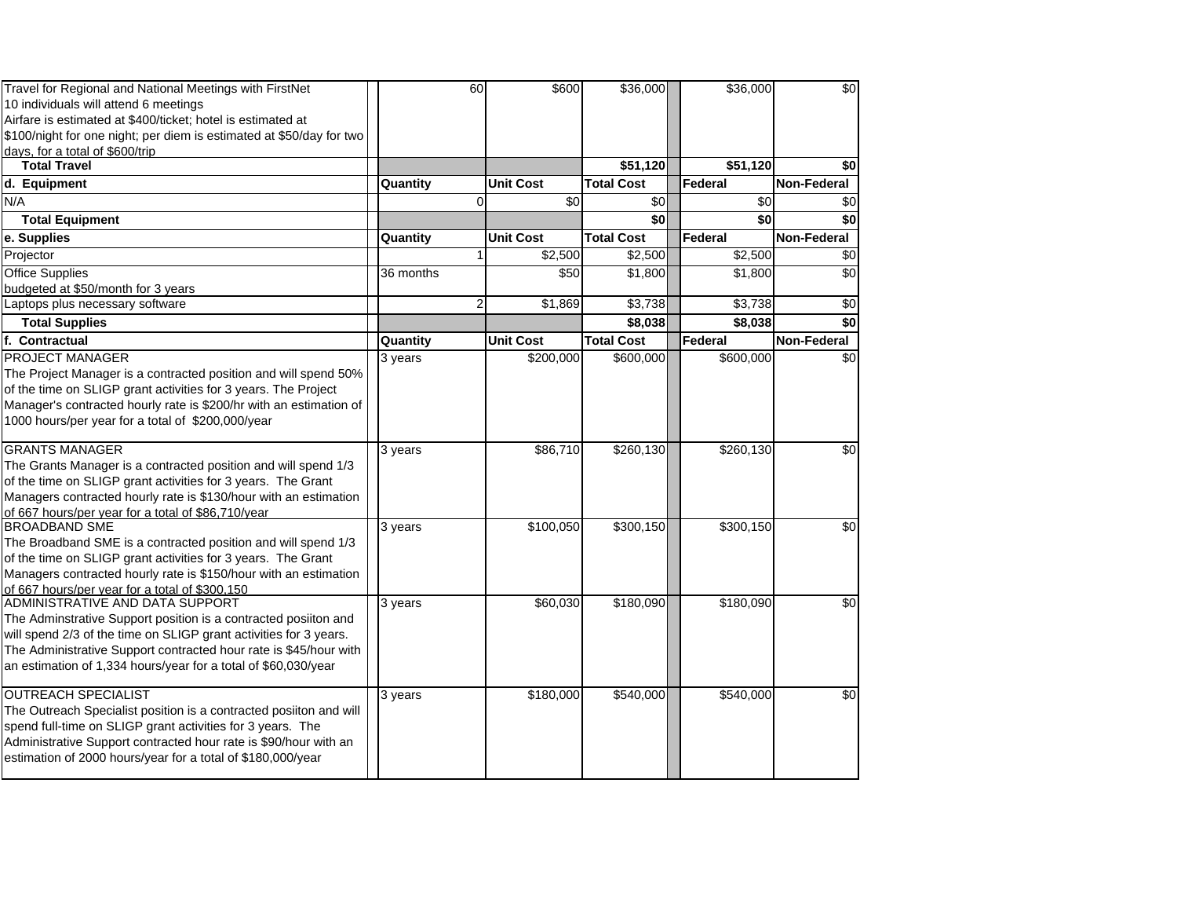| Travel for Regional and National Meetings with FirstNet              | 60        | \$600            | \$36,000          | \$36,000  | $\frac{6}{3}$      |
|----------------------------------------------------------------------|-----------|------------------|-------------------|-----------|--------------------|
| 10 individuals will attend 6 meetings                                |           |                  |                   |           |                    |
| Airfare is estimated at \$400/ticket; hotel is estimated at          |           |                  |                   |           |                    |
| \$100/night for one night; per diem is estimated at \$50/day for two |           |                  |                   |           |                    |
| days, for a total of \$600/trip                                      |           |                  |                   |           |                    |
| <b>Total Travel</b>                                                  |           |                  | \$51,120          | \$51,120  | \$0                |
| d. Equipment                                                         | Quantity  | <b>Unit Cost</b> | <b>Total Cost</b> | Federal   | Non-Federal        |
| N/A                                                                  | $\Omega$  | \$0              | \$0               | \$0       | \$0                |
| <b>Total Equipment</b>                                               |           |                  | \$0               | \$0       | \$0                |
| e. Supplies                                                          | Quantity  | <b>Unit Cost</b> | <b>Total Cost</b> | Federal   | Non-Federal        |
| Projector                                                            |           | \$2,500          | \$2,500           | \$2,500   | \$0                |
| <b>Office Supplies</b>                                               | 36 months | \$50             | \$1,800           | \$1,800   | \$0                |
| budgeted at \$50/month for 3 years                                   |           |                  |                   |           |                    |
| Laptops plus necessary software                                      | 2         | \$1,869          | \$3,738           | \$3,738   | \$0                |
| <b>Total Supplies</b>                                                |           |                  | \$8,038           | \$8,038   | \$0                |
| f. Contractual                                                       | Quantity  | <b>Unit Cost</b> | <b>Total Cost</b> | Federal   | <b>Non-Federal</b> |
| PROJECT MANAGER                                                      | 3 years   | \$200,000        | \$600,000         | \$600,000 | \$0                |
| The Project Manager is a contracted position and will spend 50%      |           |                  |                   |           |                    |
| of the time on SLIGP grant activities for 3 years. The Project       |           |                  |                   |           |                    |
| Manager's contracted hourly rate is \$200/hr with an estimation of   |           |                  |                   |           |                    |
| 1000 hours/per year for a total of \$200,000/year                    |           |                  |                   |           |                    |
| <b>GRANTS MANAGER</b>                                                | 3 years   | \$86,710         | \$260,130         | \$260,130 | \$0                |
| The Grants Manager is a contracted position and will spend 1/3       |           |                  |                   |           |                    |
| of the time on SLIGP grant activities for 3 years. The Grant         |           |                  |                   |           |                    |
| Managers contracted hourly rate is \$130/hour with an estimation     |           |                  |                   |           |                    |
| of 667 hours/per year for a total of \$86,710/year                   |           |                  |                   |           |                    |
| <b>BROADBAND SME</b>                                                 | 3 years   | \$100,050        | \$300,150         | \$300,150 | \$0                |
| The Broadband SME is a contracted position and will spend 1/3        |           |                  |                   |           |                    |
| of the time on SLIGP grant activities for 3 years. The Grant         |           |                  |                   |           |                    |
| Managers contracted hourly rate is \$150/hour with an estimation     |           |                  |                   |           |                    |
| of 667 hours/per year for a total of \$300,150                       |           |                  |                   |           |                    |
| ADMINISTRATIVE AND DATA SUPPORT                                      | $3$ years | \$60,030         | \$180,090         | \$180,090 | \$0                |
| The Adminstrative Support position is a contracted posiiton and      |           |                  |                   |           |                    |
| will spend 2/3 of the time on SLIGP grant activities for 3 years.    |           |                  |                   |           |                    |
| The Administrative Support contracted hour rate is \$45/hour with    |           |                  |                   |           |                    |
| an estimation of 1,334 hours/year for a total of \$60,030/year       |           |                  |                   |           |                    |
| <b>OUTREACH SPECIALIST</b>                                           |           | \$180,000        | \$540,000         | \$540,000 | \$0                |
| The Outreach Specialist position is a contracted posiiton and will   | 3 years   |                  |                   |           |                    |
| spend full-time on SLIGP grant activities for 3 years. The           |           |                  |                   |           |                    |
| Administrative Support contracted hour rate is \$90/hour with an     |           |                  |                   |           |                    |
| estimation of 2000 hours/year for a total of \$180,000/year          |           |                  |                   |           |                    |
|                                                                      |           |                  |                   |           |                    |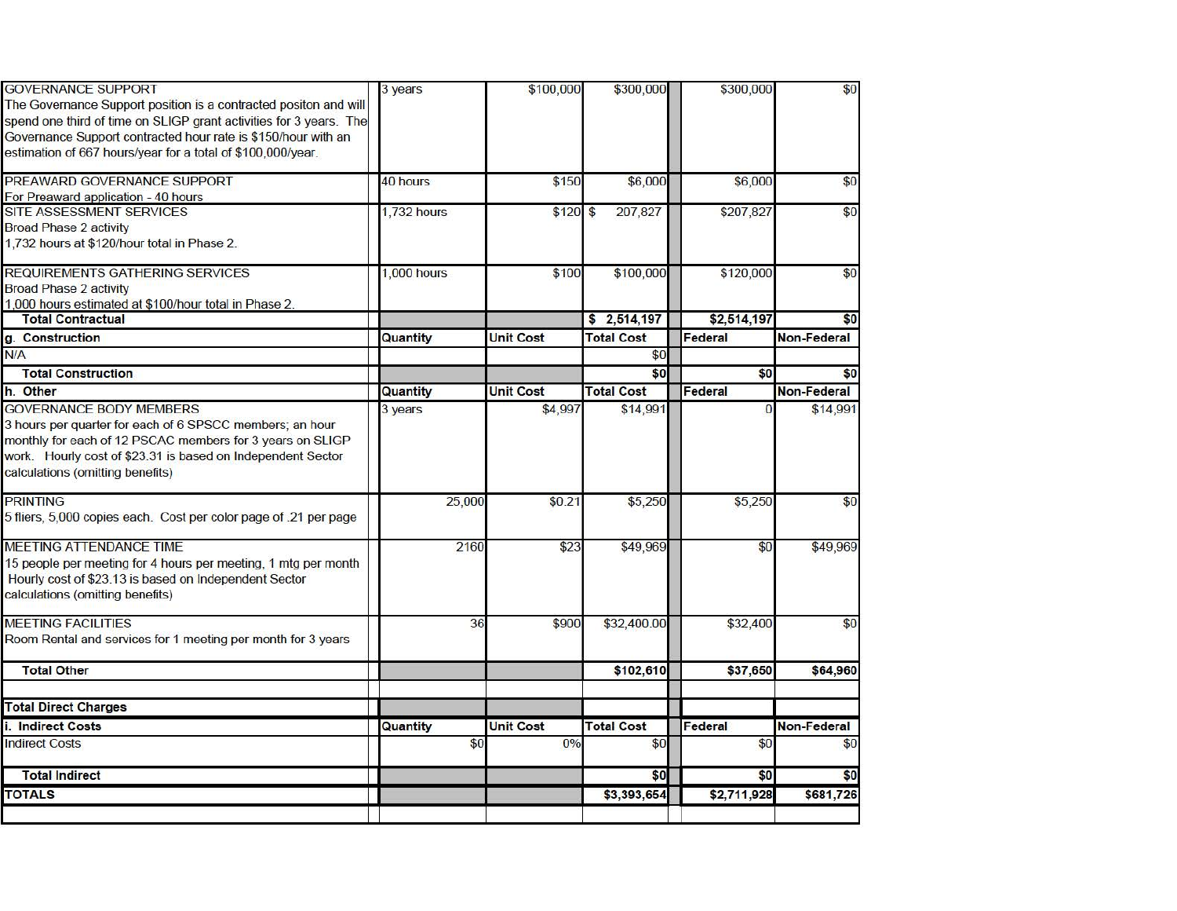| <b>GOVERNANCE SUPPORT</b>                                                                                                              | 3 years            | \$100,000        | \$300,000         | \$300,000   | \$0                |
|----------------------------------------------------------------------------------------------------------------------------------------|--------------------|------------------|-------------------|-------------|--------------------|
| The Governance Support position is a contracted positon and will<br>spend one third of time on SLIGP grant activities for 3 years. The |                    |                  |                   |             |                    |
| Governance Support contracted hour rate is \$150/hour with an                                                                          |                    |                  |                   |             |                    |
| estimation of 667 hours/year for a total of \$100,000/year.                                                                            |                    |                  |                   |             |                    |
| PREAWARD GOVERNANCE SUPPORT                                                                                                            | 40 hours           | \$150            | \$6,000           | \$6,000     | \$0                |
| For Preaward application - 40 hours                                                                                                    |                    |                  |                   |             |                    |
| SITE ASSESSMENT SERVICES                                                                                                               | <b>1,732 hours</b> | $$120$ \$        | 207,827           | \$207,827   | \$0                |
| <b>Broad Phase 2 activity</b>                                                                                                          |                    |                  |                   |             |                    |
| 1,732 hours at \$120/hour total in Phase 2.                                                                                            |                    |                  |                   |             |                    |
| REQUIREMENTS GATHERING SERVICES                                                                                                        | 1,000 hours        | \$100            | \$100,000         | \$120,000   | \$0                |
| <b>Broad Phase 2 activity</b>                                                                                                          |                    |                  |                   |             |                    |
| 1,000 hours estimated at \$100/hour total in Phase 2.                                                                                  |                    |                  |                   |             |                    |
| <b>Total Contractual</b>                                                                                                               |                    |                  | \$2,514,197       | \$2,514,197 | \$0                |
| g. Construction                                                                                                                        | Quantity           | <b>Unit Cost</b> | <b>Total Cost</b> | Federal     | <b>Non-Federal</b> |
| N/A                                                                                                                                    |                    |                  | \$0               |             |                    |
| <b>Total Construction</b>                                                                                                              |                    |                  | \$0               | \$0         | \$0                |
| h. Other                                                                                                                               | Quantity           | <b>Unit Cost</b> | <b>Total Cost</b> | Federal     | <b>Non-Federal</b> |
| <b>GOVERNANCE BODY MEMBERS</b>                                                                                                         | 3 years            | \$4,997          | \$14,991          | $\Omega$    | \$14,991           |
| 3 hours per quarter for each of 6 SPSCC members; an hour                                                                               |                    |                  |                   |             |                    |
| monthly for each of 12 PSCAC members for 3 years on SLIGP                                                                              |                    |                  |                   |             |                    |
| work. Hourly cost of \$23.31 is based on Independent Sector                                                                            |                    |                  |                   |             |                    |
| calculations (omitting benefits)                                                                                                       |                    |                  |                   |             |                    |
| <b>PRINTING</b>                                                                                                                        | 25,000             | \$0.21           | \$5,250           | \$5,250     | \$0                |
| 5 fliers, 5,000 copies each. Cost per color page of .21 per page                                                                       |                    |                  |                   |             |                    |
| MEETING ATTENDANCE TIME                                                                                                                | 2160               | \$23             | \$49,969          | \$0         | \$49,969           |
| 15 people per meeting for 4 hours per meeting, 1 mtg per month                                                                         |                    |                  |                   |             |                    |
| Hourly cost of \$23.13 is based on Independent Sector                                                                                  |                    |                  |                   |             |                    |
| calculations (omitting benefits)                                                                                                       |                    |                  |                   |             |                    |
| <b>MEETING FACILITIES</b>                                                                                                              | 36                 | \$900            | \$32,400.00       | \$32,400    | \$0                |
| Room Rental and services for 1 meeting per month for 3 years                                                                           |                    |                  |                   |             |                    |
| <b>Total Other</b>                                                                                                                     |                    |                  | \$102,610         | \$37,650    | \$64,960           |
|                                                                                                                                        |                    |                  |                   |             |                    |
| <b>Total Direct Charges</b>                                                                                                            |                    |                  |                   |             |                    |
| i. Indirect Costs                                                                                                                      | Quantity           | <b>Unit Cost</b> | <b>Total Cost</b> | Federal     | Non-Federal        |
| <b>Indirect Costs</b>                                                                                                                  | \$0                | 0%               | \$0               | \$0         | \$0                |
| <b>Total Indirect</b>                                                                                                                  |                    |                  | \$0               | \$0         | \$0                |
| <b>TOTALS</b>                                                                                                                          |                    |                  | \$3,393,654       | \$2,711,928 | \$681,726          |
|                                                                                                                                        |                    |                  |                   |             |                    |
|                                                                                                                                        |                    |                  |                   |             |                    |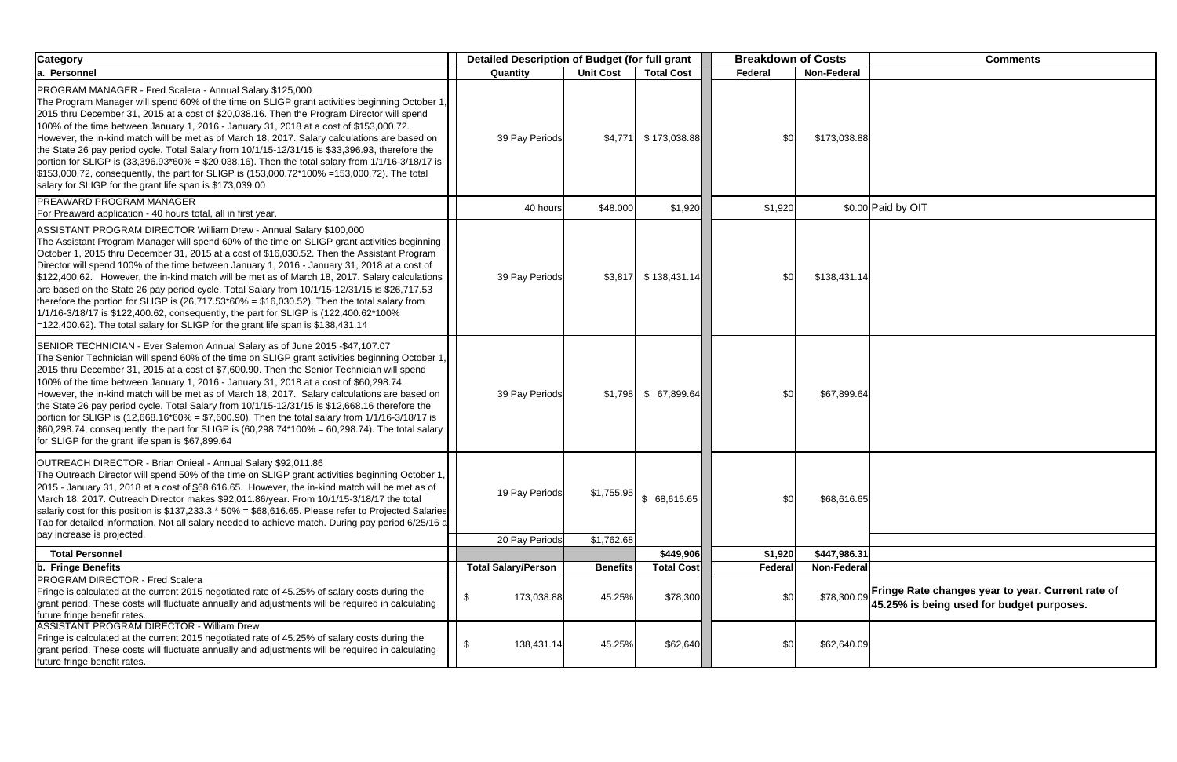| <b>Category</b>                                                                                                                                                                                                                                                                                                                                                                                                                                                                                                                                                                                                                                                                                                                                                                                                                                     | Detailed Description of Budget (for full grant |                  |                   | <b>Breakdown of Costs</b> |                    | <b>Comments</b>                                                                    |
|-----------------------------------------------------------------------------------------------------------------------------------------------------------------------------------------------------------------------------------------------------------------------------------------------------------------------------------------------------------------------------------------------------------------------------------------------------------------------------------------------------------------------------------------------------------------------------------------------------------------------------------------------------------------------------------------------------------------------------------------------------------------------------------------------------------------------------------------------------|------------------------------------------------|------------------|-------------------|---------------------------|--------------------|------------------------------------------------------------------------------------|
| a. Personnel                                                                                                                                                                                                                                                                                                                                                                                                                                                                                                                                                                                                                                                                                                                                                                                                                                        | Quantity                                       | <b>Unit Cost</b> | <b>Total Cost</b> | <b>Federal</b>            | <b>Non-Federal</b> |                                                                                    |
| PROGRAM MANAGER - Fred Scalera - Annual Salary \$125,000<br>The Program Manager will spend 60% of the time on SLIGP grant activities beginning October 1,<br>2015 thru December 31, 2015 at a cost of \$20,038.16. Then the Program Director will spend<br>100% of the time between January 1, 2016 - January 31, 2018 at a cost of \$153,000.72.<br>However, the in-kind match will be met as of March 18, 2017. Salary calculations are based on<br>the State 26 pay period cycle. Total Salary from 10/1/15-12/31/15 is \$33,396.93, therefore the<br>portion for SLIGP is $(33,396.93*60\% = $20,038.16)$ . Then the total salary from $1/1/16-3/18/17$ is<br>\$153,000.72, consequently, the part for SLIGP is (153,000.72*100% =153,000.72). The total<br>salary for SLIGP for the grant life span is \$173,039.00                            | 39 Pay Periods                                 | \$4,771          | \$173,038.88      | \$0                       | \$173,038.88       |                                                                                    |
| <b>PREAWARD PROGRAM MANAGER</b><br>For Preaward application - 40 hours total, all in first year.                                                                                                                                                                                                                                                                                                                                                                                                                                                                                                                                                                                                                                                                                                                                                    | 40 hours                                       | \$48.000         | \$1,920           | \$1,920                   |                    | \$0.00 Paid by OIT                                                                 |
| ASSISTANT PROGRAM DIRECTOR William Drew - Annual Salary \$100,000<br>The Assistant Program Manager will spend 60% of the time on SLIGP grant activities beginning<br>October 1, 2015 thru December 31, 2015 at a cost of \$16,030.52. Then the Assistant Program<br>Director will spend 100% of the time between January 1, 2016 - January 31, 2018 at a cost of<br>\$122,400.62. However, the in-kind match will be met as of March 18, 2017. Salary calculations<br>are based on the State 26 pay period cycle. Total Salary from 10/1/15-12/31/15 is \$26,717.53<br>therefore the portion for SLIGP is $(26,717.53*60\% = $16,030.52)$ . Then the total salary from<br>1/1/16-3/18/17 is \$122,400.62, consequently, the part for SLIGP is (122,400.62*100%)<br>=122,400.62). The total salary for SLIGP for the grant life span is \$138,431.14 | 39 Pay Periods                                 | \$3,817          | \$138,431.14      | \$0                       | \$138,431.14       |                                                                                    |
| SENIOR TECHNICIAN - Ever Salemon Annual Salary as of June 2015 - \$47,107.07<br>The Senior Technician will spend 60% of the time on SLIGP grant activities beginning October 1,<br>2015 thru December 31, 2015 at a cost of \$7,600.90. Then the Senior Technician will spend<br>100% of the time between January 1, 2016 - January 31, 2018 at a cost of \$60,298.74.<br>However, the in-kind match will be met as of March 18, 2017. Salary calculations are based on<br>the State 26 pay period cycle. Total Salary from 10/1/15-12/31/15 is \$12,668.16 therefore the<br>portion for SLIGP is $(12,668.16*60\% = $7,600.90)$ . Then the total salary from $1/1/16-3/18/17$ is<br>$$60,298.74$ , consequently, the part for SLIGP is $(60,298.74*100\% = 60,298.74)$ . The total salary<br>for SLIGP for the grant life span is \$67,899.64      | 39 Pay Periods                                 | \$1,798          | \$67,899.64       | \$0                       | \$67,899.64        |                                                                                    |
| OUTREACH DIRECTOR - Brian Onieal - Annual Salary \$92,011.86<br>The Outreach Director will spend 50% of the time on SLIGP grant activities beginning October 1,<br>2015 - January 31, 2018 at a cost of \$68,616.65. However, the in-kind match will be met as of<br>March 18, 2017. Outreach Director makes \$92,011.86/year. From 10/1/15-3/18/17 the total<br>salariy cost for this position is $$137,233.3$ * $50\% = $68,616.65$ . Please refer to Projected Salaries<br>Tab for detailed information. Not all salary needed to achieve match. During pay period 6/25/16 a<br>pay increase is projected.                                                                                                                                                                                                                                       | 19 Pay Periods                                 | \$1,755.95       | \$68,616.65       | \$0                       | \$68,616.65        |                                                                                    |
|                                                                                                                                                                                                                                                                                                                                                                                                                                                                                                                                                                                                                                                                                                                                                                                                                                                     | 20 Pay Periods                                 | \$1,762.68       |                   |                           |                    |                                                                                    |
| <b>Total Personnel</b>                                                                                                                                                                                                                                                                                                                                                                                                                                                                                                                                                                                                                                                                                                                                                                                                                              |                                                |                  | \$449,906         | \$1,920                   | \$447,986.31       |                                                                                    |
| <b>b.</b> Fringe Benefits<br>PROGRAM DIRECTOR - Fred Scalera                                                                                                                                                                                                                                                                                                                                                                                                                                                                                                                                                                                                                                                                                                                                                                                        | <b>Total Salary/Person</b>                     | <b>Benefits</b>  | <b>Total Cost</b> | Federal                   | <b>Non-Federal</b> |                                                                                    |
| Fringe is calculated at the current 2015 negotiated rate of 45.25% of salary costs during the<br>grant period. These costs will fluctuate annually and adjustments will be required in calculating<br>future fringe benefit rates.                                                                                                                                                                                                                                                                                                                                                                                                                                                                                                                                                                                                                  | \$<br>173,038.88                               | 45.25%           | \$78,300          | \$0                       |                    | \$78,300.09 Fringe Rate changes year to year.<br>45.25% is being used for budget p |
| <b>ASSISTANT PROGRAM DIRECTOR - William Drew</b><br>Fringe is calculated at the current 2015 negotiated rate of 45.25% of salary costs during the<br>grant period. These costs will fluctuate annually and adjustments will be required in calculating<br>future fringe benefit rates.                                                                                                                                                                                                                                                                                                                                                                                                                                                                                                                                                              | \$<br>138,431.14                               | 45.25%           | \$62,640          | \$0                       | \$62,640.09        |                                                                                    |

|   | <b>Comments</b>                                                                                |
|---|------------------------------------------------------------------------------------------------|
|   |                                                                                                |
| 3 |                                                                                                |
|   | Paid by OIT                                                                                    |
| ļ |                                                                                                |
| ļ |                                                                                                |
| 5 |                                                                                                |
|   |                                                                                                |
|   |                                                                                                |
|   | Fringe Rate changes year to year. Current rate of<br>45.25% is being used for budget purposes. |
|   |                                                                                                |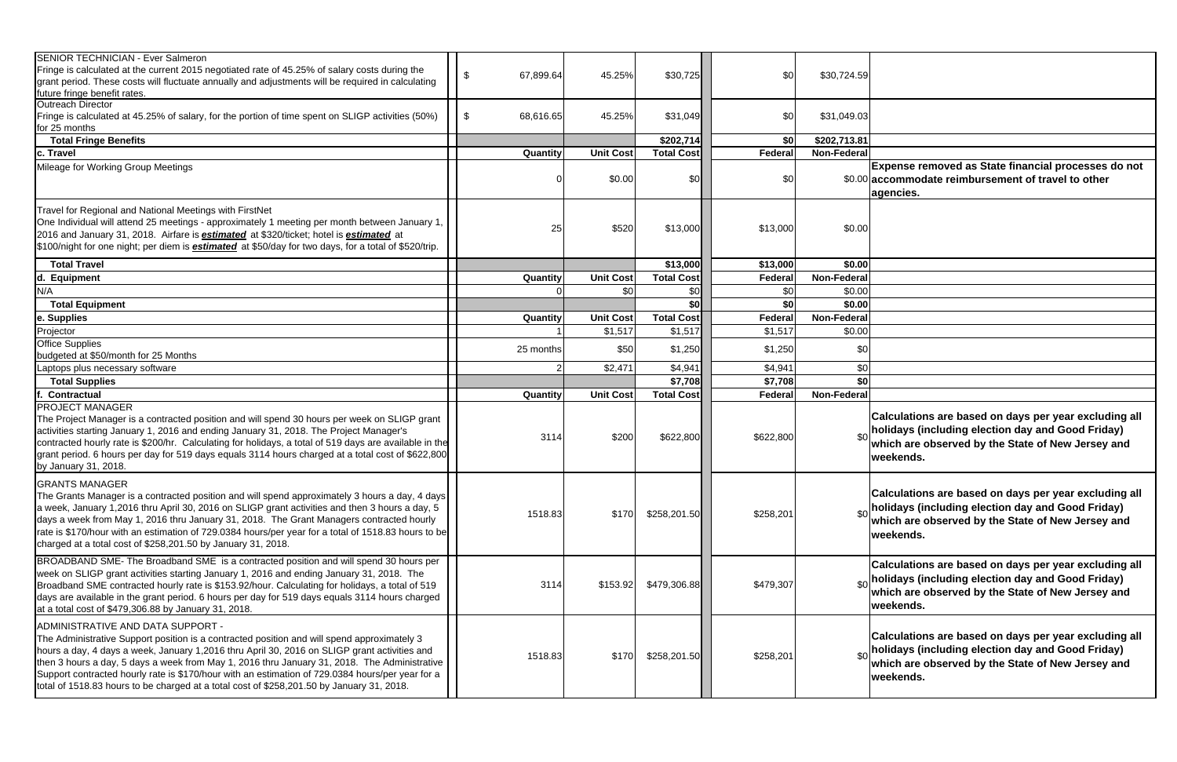| <b>SENIOR TECHNICIAN - Ever Salmeron</b><br>Fringe is calculated at the current 2015 negotiated rate of 45.25% of salary costs during the<br>grant period. These costs will fluctuate annually and adjustments will be required in calculating<br>future fringe benefit rates.                                                                                                                                                                                                                                                    | \$<br>67,899.64 | 45.25%           | \$30,725          | \$0            | \$30,724.59  |
|-----------------------------------------------------------------------------------------------------------------------------------------------------------------------------------------------------------------------------------------------------------------------------------------------------------------------------------------------------------------------------------------------------------------------------------------------------------------------------------------------------------------------------------|-----------------|------------------|-------------------|----------------|--------------|
| Outreach Director<br>Fringe is calculated at 45.25% of salary, for the portion of time spent on SLIGP activities (50%)<br>for 25 months                                                                                                                                                                                                                                                                                                                                                                                           | \$<br>68,616.65 | 45.25%           | \$31,049          | \$0            | \$31,049.03  |
| <b>Total Fringe Benefits</b>                                                                                                                                                                                                                                                                                                                                                                                                                                                                                                      |                 |                  | \$202,714         | \$0            | \$202,713.81 |
| c. Travel                                                                                                                                                                                                                                                                                                                                                                                                                                                                                                                         | Quantity        | <b>Unit Cost</b> | <b>Total Cost</b> | Federal        | Non-Federal  |
| Mileage for Working Group Meetings                                                                                                                                                                                                                                                                                                                                                                                                                                                                                                |                 | \$0.00           | \$0 <sub>l</sub>  | \$0            | \$0.00       |
| Travel for Regional and National Meetings with FirstNet<br>One Individual will attend 25 meetings - approximately 1 meeting per month between January 1,<br>2016 and January 31, 2018. Airfare is <b>estimated</b> at \$320/ticket; hotel is <b>estimated</b> at<br>\$100/night for one night; per diem is <b>estimated</b> at \$50/day for two days, for a total of \$520/trip.                                                                                                                                                  | 25              | \$520            | \$13,000          | \$13,000       | \$0.00       |
| <b>Total Travel</b>                                                                                                                                                                                                                                                                                                                                                                                                                                                                                                               |                 |                  | \$13,000          | \$13,000       | \$0.00       |
| d. Equipment                                                                                                                                                                                                                                                                                                                                                                                                                                                                                                                      | Quantity        | <b>Unit Cost</b> | <b>Total Cost</b> | <b>Federal</b> | Non-Federal  |
| N/A                                                                                                                                                                                                                                                                                                                                                                                                                                                                                                                               |                 | \$0              | \$0               | \$0            | \$0.00       |
| <b>Total Equipment</b>                                                                                                                                                                                                                                                                                                                                                                                                                                                                                                            |                 |                  | \$0               | \$0            | \$0.00       |
| e. Supplies                                                                                                                                                                                                                                                                                                                                                                                                                                                                                                                       | Quantity        | <b>Unit Cost</b> | <b>Total Cost</b> | Federal        | Non-Federal  |
| Projector                                                                                                                                                                                                                                                                                                                                                                                                                                                                                                                         |                 | \$1,517          | \$1,517           | \$1,517        | \$0.00       |
| <b>Office Supplies</b>                                                                                                                                                                                                                                                                                                                                                                                                                                                                                                            | 25 months       | \$50             | \$1,250           | \$1,250        | \$0          |
| budgeted at \$50/month for 25 Months                                                                                                                                                                                                                                                                                                                                                                                                                                                                                              |                 |                  |                   |                |              |
| Laptops plus necessary software                                                                                                                                                                                                                                                                                                                                                                                                                                                                                                   |                 | \$2,471          | \$4,941           | \$4,941        | \$0          |
| <b>Total Supplies</b>                                                                                                                                                                                                                                                                                                                                                                                                                                                                                                             |                 |                  | \$7,708           | \$7,708        | \$0          |
| <b>Contractual</b>                                                                                                                                                                                                                                                                                                                                                                                                                                                                                                                | Quantity        | <b>Unit Cost</b> | <b>Total Cost</b> | Federal        | Non-Federal  |
| <b>PROJECT MANAGER</b><br>The Project Manager is a contracted position and will spend 30 hours per week on SLIGP grant<br>activities starting January 1, 2016 and ending January 31, 2018. The Project Manager's<br>contracted hourly rate is \$200/hr. Calculating for holidays, a total of 519 days are available in the<br>grant period. 6 hours per day for 519 days equals 3114 hours charged at a total cost of \$622,800<br>by January 31, 2018.                                                                           | 3114            | \$200            | \$622,800         | \$622,800      | \$0          |
| <b>GRANTS MANAGER</b><br>The Grants Manager is a contracted position and will spend approximately 3 hours a day, 4 days<br>a week, January 1,2016 thru April 30, 2016 on SLIGP grant activities and then 3 hours a day, 5<br>days a week from May 1, 2016 thru January 31, 2018. The Grant Managers contracted hourly<br>rate is \$170/hour with an estimation of 729.0384 hours/per year for a total of 1518.83 hours to be<br>charged at a total cost of \$258,201.50 by January 31, 2018.                                      | 1518.83         | \$170            | \$258,201.50      | \$258,201      | \$0          |
| BROADBAND SME- The Broadband SME is a contracted position and will spend 30 hours per<br>week on SLIGP grant activities starting January 1, 2016 and ending January 31, 2018. The<br>Broadband SME contracted hourly rate is \$153.92/hour. Calculating for holidays, a total of 519<br>days are available in the grant period. 6 hours per day for 519 days equals 3114 hours charged<br>at a total cost of \$479,306.88 by January 31, 2018.                                                                                    | 3114            | \$153.92         | \$479,306.88      | \$479,307      | \$0          |
| ADMINISTRATIVE AND DATA SUPPORT -<br>The Administrative Support position is a contracted position and will spend approximately 3<br>hours a day, 4 days a week, January 1,2016 thru April 30, 2016 on SLIGP grant activities and<br>then 3 hours a day, 5 days a week from May 1, 2016 thru January 31, 2018. The Administrative<br>Support contracted hourly rate is \$170/hour with an estimation of 729.0384 hours/per year for a<br>total of 1518.83 hours to be charged at a total cost of \$258,201.50 by January 31, 2018. | 1518.83         | \$170            | \$258,201.50      | \$258,201      | \$0          |

| 3              |                                                                                                                                                                              |
|----------------|------------------------------------------------------------------------------------------------------------------------------------------------------------------------------|
|                |                                                                                                                                                                              |
|                |                                                                                                                                                                              |
|                | Expense removed as State financial processes do not<br>accommodate reimbursement of travel to other<br>agencies.                                                             |
|                |                                                                                                                                                                              |
|                |                                                                                                                                                                              |
|                |                                                                                                                                                                              |
| $\overline{0}$ |                                                                                                                                                                              |
| 0              |                                                                                                                                                                              |
| C              |                                                                                                                                                                              |
|                |                                                                                                                                                                              |
|                |                                                                                                                                                                              |
|                |                                                                                                                                                                              |
|                |                                                                                                                                                                              |
|                | Calculations are based on days per year excluding all<br>holidays (including election day and Good Friday)<br>which are observed by the State of New Jersey and<br>weekends. |
|                | Calculations are based on days per year excluding all<br>holidays (including election day and Good Friday)<br>which are observed by the State of New Jersey and<br>weekends. |
|                | Calculations are based on days per year excluding all<br>holidays (including election day and Good Friday)<br>which are observed by the State of New Jersey and<br>weekends. |
|                | Calculations are based on days per year excluding all<br>holidays (including election day and Good Friday)<br>which are observed by the State of New Jersey and<br>weekends. |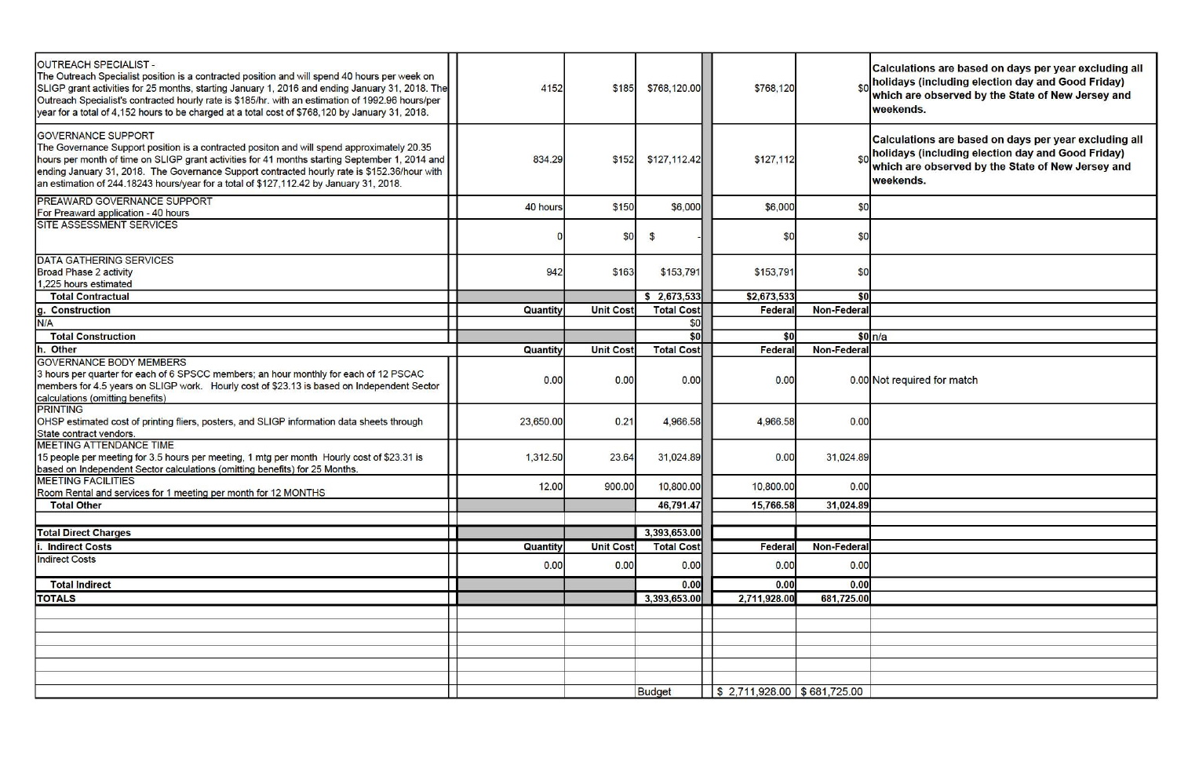|   | Calculations are based on days per year excluding all<br>holidays (including election day and Good Friday)<br>which are observed by the State of New Jersey and<br>weekends. |
|---|------------------------------------------------------------------------------------------------------------------------------------------------------------------------------|
|   | Calculations are based on days per year excluding all<br>holidays (including election day and Good Friday)<br>which are observed by the State of New Jersey and<br>weekends. |
|   |                                                                                                                                                                              |
| J |                                                                                                                                                                              |
| J |                                                                                                                                                                              |
| D |                                                                                                                                                                              |
|   |                                                                                                                                                                              |
| O | n/a                                                                                                                                                                          |
|   |                                                                                                                                                                              |
|   |                                                                                                                                                                              |
|   | Mot required for match                                                                                                                                                       |
| J |                                                                                                                                                                              |
| Э |                                                                                                                                                                              |
|   |                                                                                                                                                                              |
|   |                                                                                                                                                                              |
|   |                                                                                                                                                                              |
|   |                                                                                                                                                                              |
|   |                                                                                                                                                                              |
|   |                                                                                                                                                                              |
|   |                                                                                                                                                                              |
|   |                                                                                                                                                                              |
|   |                                                                                                                                                                              |
|   |                                                                                                                                                                              |
|   |                                                                                                                                                                              |
|   |                                                                                                                                                                              |
|   |                                                                                                                                                                              |
|   |                                                                                                                                                                              |
|   |                                                                                                                                                                              |

| <b>OUTREACH SPECIALIST -</b><br>The Outreach Specialist position is a contracted position and will spend 40 hours per week on<br>SLIGP grant activities for 25 months, starting January 1, 2016 and ending January 31, 2018. The<br>Outreach Specialist's contracted hourly rate is \$185/hr. with an estimation of 1992.96 hours/per<br>year for a total of 4,152 hours to be charged at a total cost of \$768,120 by January 31, 2018. | 4152      | \$185            | \$768,120.00      | \$768,120                        |                    | Calculations are based on days per year excluding a<br>$_{\text{sol}}$ holidays (including election day and Good Friday)<br>which are observed by the State of New Jersey and<br>weekends. |
|------------------------------------------------------------------------------------------------------------------------------------------------------------------------------------------------------------------------------------------------------------------------------------------------------------------------------------------------------------------------------------------------------------------------------------------|-----------|------------------|-------------------|----------------------------------|--------------------|--------------------------------------------------------------------------------------------------------------------------------------------------------------------------------------------|
| <b>GOVERNANCE SUPPORT</b><br>The Governance Support position is a contracted positon and will spend approximately 20.35<br>hours per month of time on SLIGP grant activities for 41 months starting September 1, 2014 and<br>ending January 31, 2018. The Governance Support contracted hourly rate is \$152.36/hour with<br>an estimation of 244.18243 hours/year for a total of \$127,112.42 by January 31, 2018.                      | 834.29    | \$152            | \$127,112.42      | \$127,112                        |                    | Calculations are based on days per year excluding a<br><sub>\$0</sub> holidays (including election day and Good Friday)<br>which are observed by the State of New Jersey and<br>weekends.  |
| PREAWARD GOVERNANCE SUPPORT                                                                                                                                                                                                                                                                                                                                                                                                              | 40 hours  | \$150            | \$6,000           | \$6,000                          | \$0                |                                                                                                                                                                                            |
| For Preaward application - 40 hours<br>SITE ASSESSMENT SERVICES                                                                                                                                                                                                                                                                                                                                                                          |           |                  |                   |                                  |                    |                                                                                                                                                                                            |
|                                                                                                                                                                                                                                                                                                                                                                                                                                          |           | \$0              | $\mathfrak{L}$    | \$0                              | \$0                |                                                                                                                                                                                            |
| <b>DATA GATHERING SERVICES</b><br><b>Broad Phase 2 activity</b><br>1,225 hours estimated                                                                                                                                                                                                                                                                                                                                                 | 942       | \$163            | \$153,791         | \$153,791                        | \$0                |                                                                                                                                                                                            |
| <b>Total Contractual</b>                                                                                                                                                                                                                                                                                                                                                                                                                 |           |                  | \$2,673,533       | \$2,673,533                      | \$0                |                                                                                                                                                                                            |
| g. Construction                                                                                                                                                                                                                                                                                                                                                                                                                          | Quantity  | <b>Unit Cost</b> | <b>Total Cost</b> | Federa                           | <b>Non-Federal</b> |                                                                                                                                                                                            |
| N/A                                                                                                                                                                                                                                                                                                                                                                                                                                      |           |                  | \$0               |                                  |                    |                                                                                                                                                                                            |
| <b>Total Construction</b>                                                                                                                                                                                                                                                                                                                                                                                                                |           |                  | \$0               | \$0                              |                    | \$0 n/a                                                                                                                                                                                    |
| h. Other                                                                                                                                                                                                                                                                                                                                                                                                                                 | Quantity  | <b>Unit Cost</b> | <b>Total Cost</b> | Federa                           | <b>Non-Federal</b> |                                                                                                                                                                                            |
| <b>GOVERNANCE BODY MEMBERS</b><br>3 hours per quarter for each of 6 SPSCC members; an hour monthly for each of 12 PSCAC<br>members for 4.5 years on SLIGP work. Hourly cost of \$23.13 is based on Independent Sector<br>calculations (omitting benefits)                                                                                                                                                                                | 0.00      | 0.00             | 0.00              | 0.00                             |                    | 0.00 Not required for match                                                                                                                                                                |
| <b>PRINTING</b><br>OHSP estimated cost of printing fliers, posters, and SLIGP information data sheets through<br>State contract vendors.                                                                                                                                                                                                                                                                                                 | 23,650.00 | 0.21             | 4,966.58          | 4,966.58                         | 0.00               |                                                                                                                                                                                            |
| <b>MEETING ATTENDANCE TIME</b><br>15 people per meeting for 3.5 hours per meeting, 1 mtg per month Hourly cost of \$23.31 is<br>based on Independent Sector calculations (omitting benefits) for 25 Months.                                                                                                                                                                                                                              | 1,312.50  | 23.64            | 31,024.89         | 0.00                             | 31,024.89          |                                                                                                                                                                                            |
| <b>MEETING FACILITIES</b>                                                                                                                                                                                                                                                                                                                                                                                                                | 12.00     | 900.00           | 10,800.00         | 10,800.00                        | 0.00               |                                                                                                                                                                                            |
| Room Rental and services for 1 meeting per month for 12 MONTHS<br><b>Total Other</b>                                                                                                                                                                                                                                                                                                                                                     |           |                  | 46,791.47         | 15,766.58                        | 31,024.89          |                                                                                                                                                                                            |
|                                                                                                                                                                                                                                                                                                                                                                                                                                          |           |                  |                   |                                  |                    |                                                                                                                                                                                            |
| <b>Total Direct Charges</b>                                                                                                                                                                                                                                                                                                                                                                                                              |           |                  | 3,393,653.00      |                                  |                    |                                                                                                                                                                                            |
| <b>Indirect Costs</b>                                                                                                                                                                                                                                                                                                                                                                                                                    | Quantity  | <b>Unit Cost</b> | <b>Total Cost</b> | Federal                          | <b>Non-Federal</b> |                                                                                                                                                                                            |
| <b>Indirect Costs</b>                                                                                                                                                                                                                                                                                                                                                                                                                    |           |                  |                   |                                  |                    |                                                                                                                                                                                            |
|                                                                                                                                                                                                                                                                                                                                                                                                                                          | 0.00      | 0.00             | 0.00              | 0.00                             | 0.00               |                                                                                                                                                                                            |
| <b>Total Indirect</b>                                                                                                                                                                                                                                                                                                                                                                                                                    |           |                  | 0.00              | 0.00                             | 0.00               |                                                                                                                                                                                            |
| <b>TOTALS</b>                                                                                                                                                                                                                                                                                                                                                                                                                            |           |                  | 3,393,653.00      | 2,711,928.00                     | 681,725.00         |                                                                                                                                                                                            |
|                                                                                                                                                                                                                                                                                                                                                                                                                                          |           |                  |                   |                                  |                    |                                                                                                                                                                                            |
|                                                                                                                                                                                                                                                                                                                                                                                                                                          |           |                  |                   |                                  |                    |                                                                                                                                                                                            |
|                                                                                                                                                                                                                                                                                                                                                                                                                                          |           |                  |                   |                                  |                    |                                                                                                                                                                                            |
|                                                                                                                                                                                                                                                                                                                                                                                                                                          |           |                  |                   |                                  |                    |                                                                                                                                                                                            |
|                                                                                                                                                                                                                                                                                                                                                                                                                                          |           |                  |                   |                                  |                    |                                                                                                                                                                                            |
|                                                                                                                                                                                                                                                                                                                                                                                                                                          |           |                  |                   |                                  |                    |                                                                                                                                                                                            |
|                                                                                                                                                                                                                                                                                                                                                                                                                                          |           |                  | <b>Budget</b>     | $$2,711,928.00 \mid $681,725.00$ |                    |                                                                                                                                                                                            |
|                                                                                                                                                                                                                                                                                                                                                                                                                                          |           |                  |                   |                                  |                    |                                                                                                                                                                                            |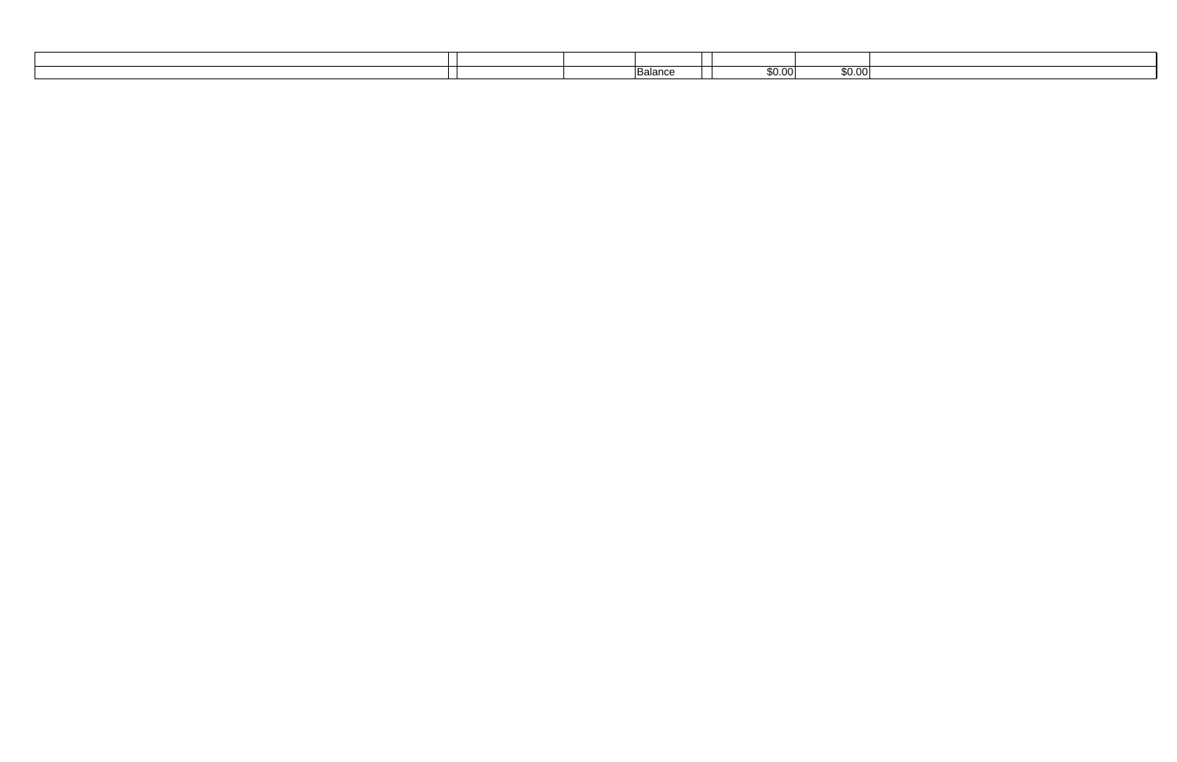|  | $\overline{\phantom{a}}$<br>Balance | \$0.00 | . .<br>£0<br>ψv.ν. |
|--|-------------------------------------|--------|--------------------|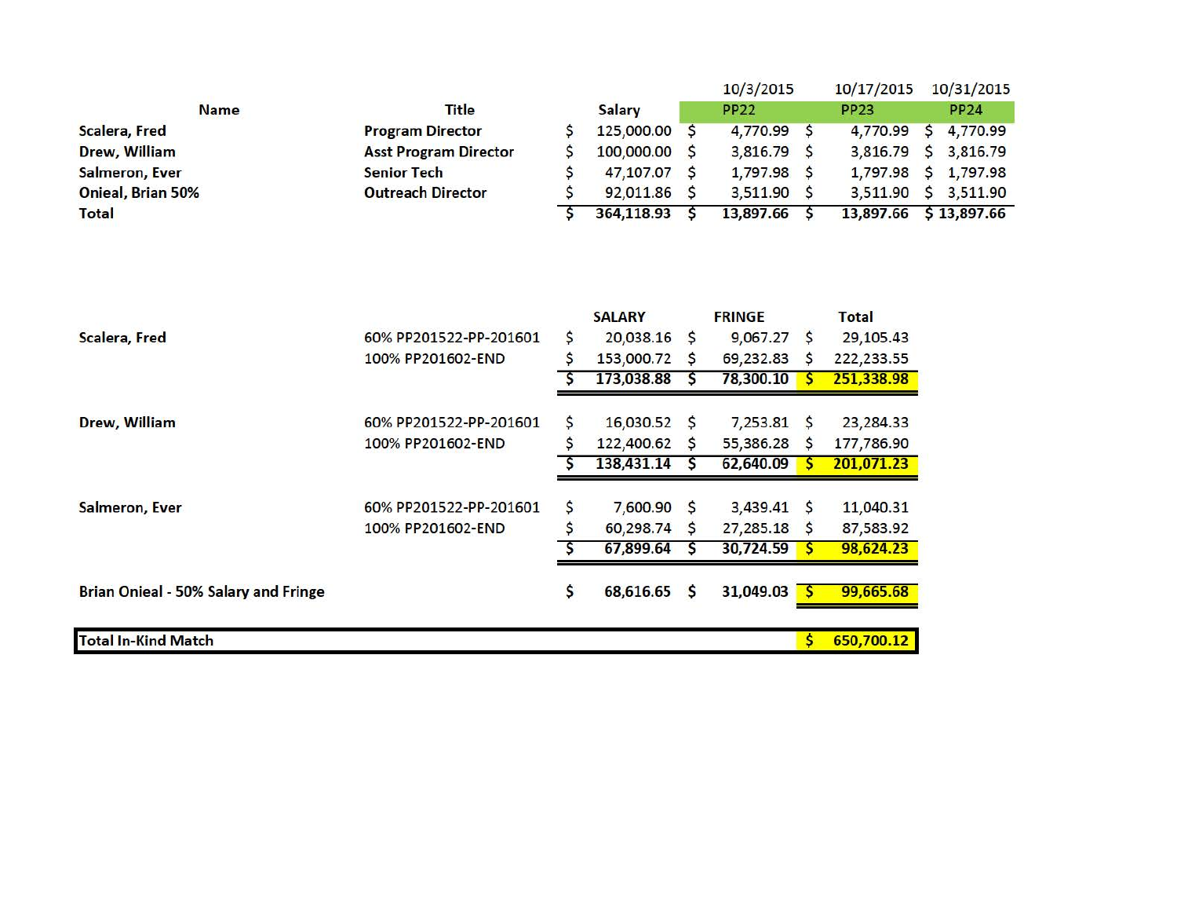|                          |                                             |         |                                                        |        | 10/3/2015                                           |                   | 10/17/2015                                            |   | 10/31/2015  |
|--------------------------|---------------------------------------------|---------|--------------------------------------------------------|--------|-----------------------------------------------------|-------------------|-------------------------------------------------------|---|-------------|
| <b>Name</b>              | <b>Title</b>                                |         | <b>Salary</b>                                          |        | <b>PP22</b>                                         |                   | <b>PP23</b>                                           |   | PP24        |
| <b>Scalera, Fred</b>     | <b>Program Director</b>                     | \$      | 125,000.00                                             | S      | 4,770.99 \$                                         |                   | 4,770.99                                              | S | 4,770.99    |
| Drew, William            | <b>Asst Program Director</b>                |         | 100,000.00                                             | S      | 3,816.79                                            | S                 | 3,816.79                                              | S | 3,816.79    |
| <b>Salmeron, Ever</b>    | <b>Senior Tech</b>                          |         | 47,107.07                                              | s      | 1,797.98                                            | S                 | 1,797.98                                              | S | 1,797.98    |
| <b>Onieal, Brian 50%</b> | <b>Outreach Director</b>                    |         | 92,011.86                                              | s      | 3,511.90                                            | S                 | 3,511.90                                              | s | 3,511.90    |
| <b>Total</b>             |                                             |         | 364,118.93                                             | S      | 13,897.66                                           | S                 | 13,897.66                                             |   | \$13,897.66 |
| <b>Scalera, Fred</b>     | 60% PP201522-PP-201601<br>100% PP201602-END | S<br>\$ | <b>SALARY</b><br>20,038.16<br>153,000.72<br>173,038.88 | S<br>S | <b>FRINGE</b><br>9,067.27<br>69,232.83<br>78,300.10 | $\mathsf{S}$<br>S | <b>Total</b><br>29,105.43<br>222,233.55<br>251,338.98 |   |             |
| Drew, William            | 60% PP201522-PP-201601<br>100% PP201602-END | \$<br>Ś | $16,030.52$ \$<br>122,400.62<br>138,431.14             | S      | $7,253.81$ \$<br>55,386.28<br>62,640.09             | S                 | 23,284.33<br>177,786.90<br>201,071.23                 |   |             |
| <b>Salmeron, Ever</b>    | 60% PP201522-PP-201601                      | \$      | 7,600.90 \$                                            |        | 3,439.41                                            | S                 | 11,040.31                                             |   |             |

Brian Onieal - 50% Salary and Fringe **\$ 68,616.65** \$ 31,049.03 <sup>\$</sup> 99,665.68

**In** Total In-Kind Match **by a struck of the struck of the struck of the struck of**  $\frac{1}{2}$  **<b>650,700.12** 

100% PP201602-END \$ 60,298.74 \$ 27,285.18 \$ 87,583.92

*\$* 67,899.64 *\$* 30,724.S9 *\$* 98,624.23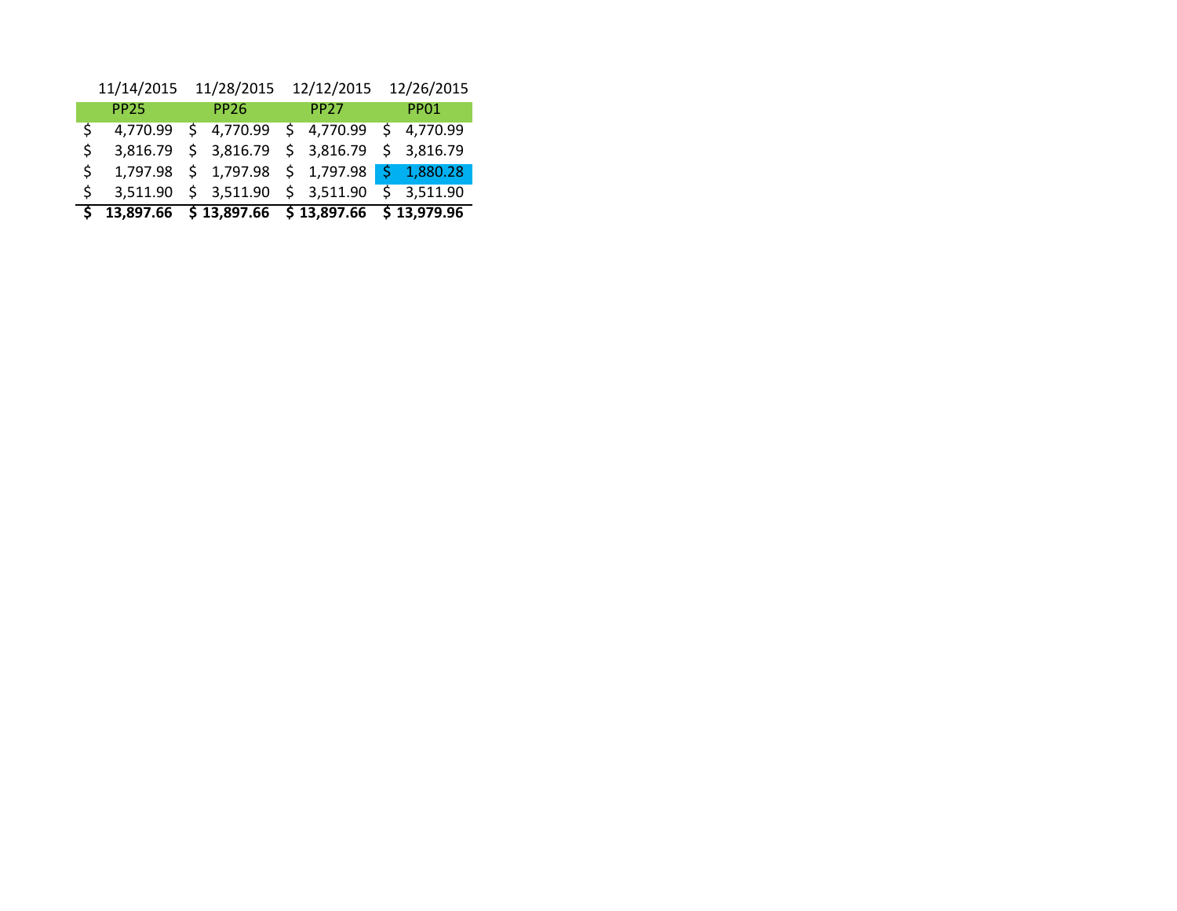|    | 11/14/2015  |                                        | 11/28/2015              |  | 12/12/2015  | 12/26/2015  |
|----|-------------|----------------------------------------|-------------------------|--|-------------|-------------|
|    | <b>PP25</b> |                                        | <b>PP26</b>             |  | <b>PP27</b> | <b>PP01</b> |
| Ś  | 4,770.99    |                                        | \$4,770.99              |  | \$4,770.99  | \$4,770.99  |
| \$ | 3,816.79    |                                        | \$3,816.79              |  | \$3,816.79  | \$3,816.79  |
| \$ |             |                                        | 1,797.98 \$ 1,797.98    |  | \$1,797.98  | \$1,880.28  |
| Ś. | 3,511.90    |                                        | $$3,511.90$ $$3,511.90$ |  |             | \$3,511.90  |
|    |             | $$13,897.66$ $$13,897.66$ $$13,897.66$ |                         |  |             | \$13,979.96 |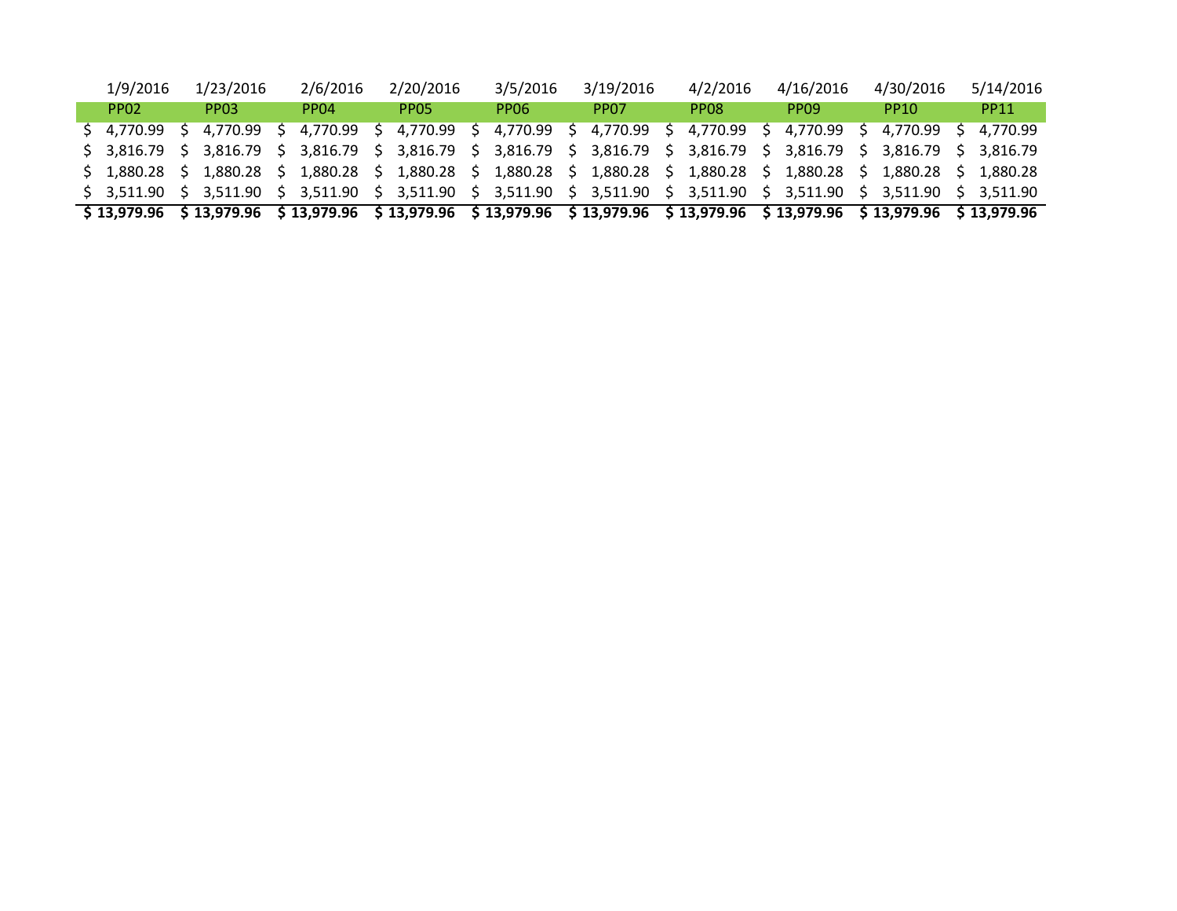| \$13,979.96 \$13,979.96 \$13,979.96 \$13,979.96 \$13,979.96 \$13,979.96 \$13,979.96 \$13,979.96 \$13,979.96 \$13,979.96 |             |    |                  |                  |                         |                         |             |    |                  |                      |    |                  |
|-------------------------------------------------------------------------------------------------------------------------|-------------|----|------------------|------------------|-------------------------|-------------------------|-------------|----|------------------|----------------------|----|------------------|
| \$ 3,511.90 \$ 3,511.90 \$ 3,511.90 \$ 3,511.90 \$ 3,511.90 \$ 3,511.90 \$ 3,511.90 \$ 3,511.90 \$ 3,511.90             |             |    |                  |                  |                         |                         |             |    |                  |                      |    | S 3.511.90       |
| \$ 1,880.28 \$ 1,880.28 \$ 1,880.28 \$ 1,880.28 \$ 1,880.28 \$ 1,880.28 \$ 1,880.28 \$ 1,880.28 \$ 1,880.28             |             |    |                  |                  |                         |                         |             |    |                  |                      |    | \$1.880.28       |
| $$3,816.79$ $$3,816.79$ $$3,816.79$ $$3,816.79$ $$3,816.79$ $$3,816.79$ $$3,816.79$ $$3,816.79$ $$3,816.79$ $$3,816.79$ |             |    |                  |                  |                         |                         |             |    |                  |                      | S. | 3.816.79         |
| \$4.770.99                                                                                                              | 4.770.99    | `S | 4.770.99         |                  | $$4,770.99$ $$4,770.99$ | \$ 4,770.99 \$ 4,770.99 |             | S. |                  | 4,770.99 \$ 4,770.99 |    | 4.770.99         |
| PP <sub>02</sub>                                                                                                        | <b>PPO3</b> |    | PP <sub>04</sub> | PPO <sub>5</sub> | PPO6                    | PP <sub>07</sub>        | <b>PPO8</b> |    | PP <sub>09</sub> | PP <sub>10</sub>     |    | PP <sub>11</sub> |
| 1/9/2016                                                                                                                | 1/23/2016   |    | 2/6/2016         | 2/20/2016        | 3/5/2016                | 3/19/2016               | 4/2/2016    |    | 4/16/2016        | 4/30/2016            |    | 5/14/2016        |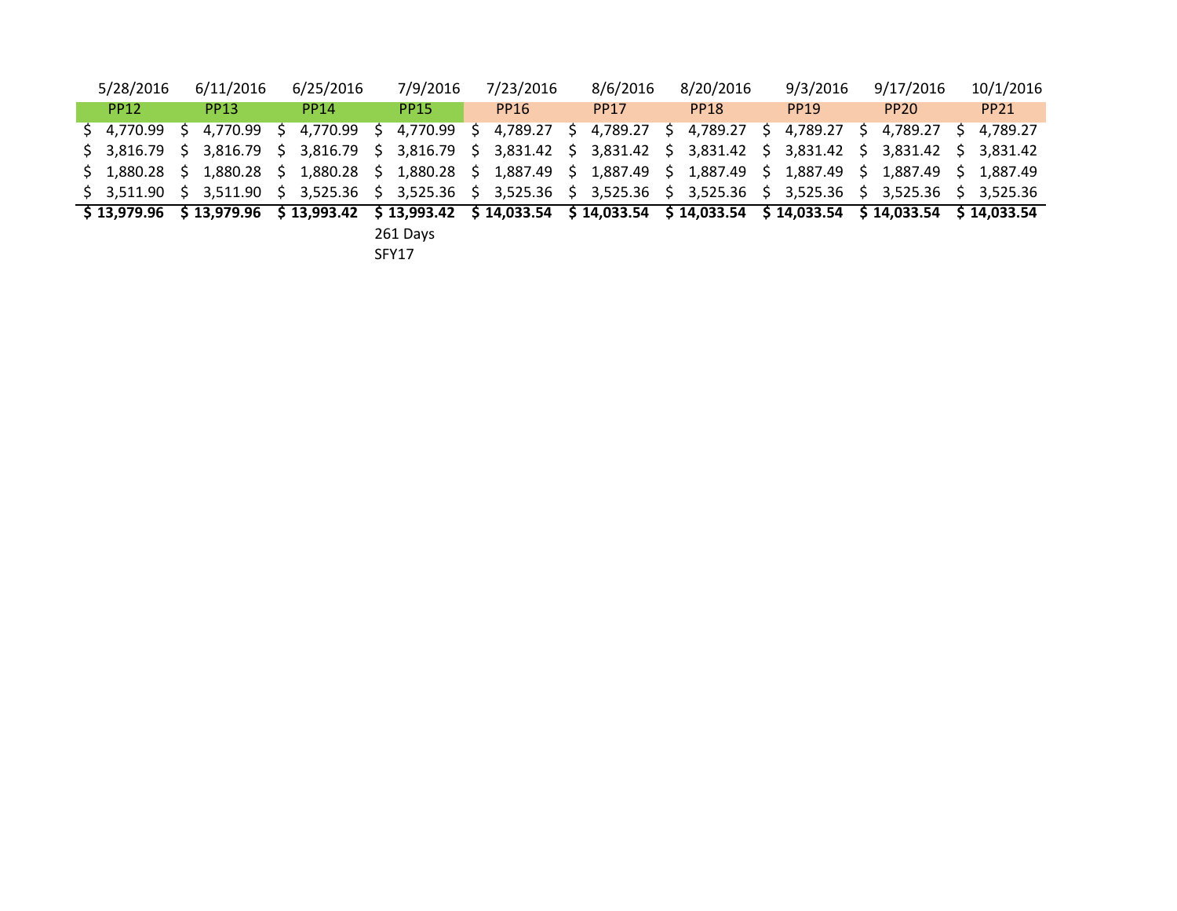| 5/28/2016                                                                                                                                      | 6/11/2016     | 6/25/2016   |    | 7/9/2016    | 7/23/2016            | 8/6/2016    | 8/20/2016               |    | 9/3/2016    | 9/17/2016   |    | 10/1/2016   |
|------------------------------------------------------------------------------------------------------------------------------------------------|---------------|-------------|----|-------------|----------------------|-------------|-------------------------|----|-------------|-------------|----|-------------|
| <b>PP12</b>                                                                                                                                    | <b>PP13</b>   | <b>PP14</b> |    | <b>PP15</b> | <b>PP16</b>          | <b>PP17</b> | <b>PP18</b>             |    | <b>PP19</b> | <b>PP20</b> |    | <b>PP21</b> |
| \$4,770.99                                                                                                                                     | \$4,770.99 \$ | 4.770.99    | S. |             | 4,770.99 \$ 4,789.27 |             | $$4,789.27$ $$4,789.27$ | S. | 4,789.27 \$ | 4.789.27    | S. | 4.789.27    |
| \$ 3,816.79 \$ 3,816.79 \$ 3,816.79 \$ 3,816.79 \$ 3,831.42 \$ 3,831.42 \$ 3,831.42 \$ 3,831.42 \$ 3,831.42 \$ 3,831.42                        |               |             |    |             |                      |             |                         |    |             |             |    |             |
| \$ 1,880.28 \$ 1,880.28 \$ 1,880.28 \$ 1,880.28 \$ 1,887.49 \$ 1,887.49 \$ 1,887.49 \$ 1,887.49 \$ 1,887.49                                    |               |             |    |             |                      |             |                         |    |             |             |    | \$1.887.49  |
| \$ 3,511.90 \$ 3,511.90 \$ 3,525.36 \$ 3,525.36 \$ 3,525.36 \$ 3,525.36 \$ 3,525.36 \$ 3,525.36 \$ 3,525.36 \$ 3,525.36                        |               |             |    |             |                      |             |                         |    |             |             |    |             |
| $$13,979.96$ $$13,979.96$ $$13,993.42$ $$13,993.42$ $$14,033.54$ $$14,033.54$ $$14,033.54$ $$14,033.54$ $$14,033.54$ $$14,033.54$ $$14,033.54$ |               |             |    |             |                      |             |                         |    |             |             |    |             |
|                                                                                                                                                |               |             |    | 261 Days    |                      |             |                         |    |             |             |    |             |

SFY17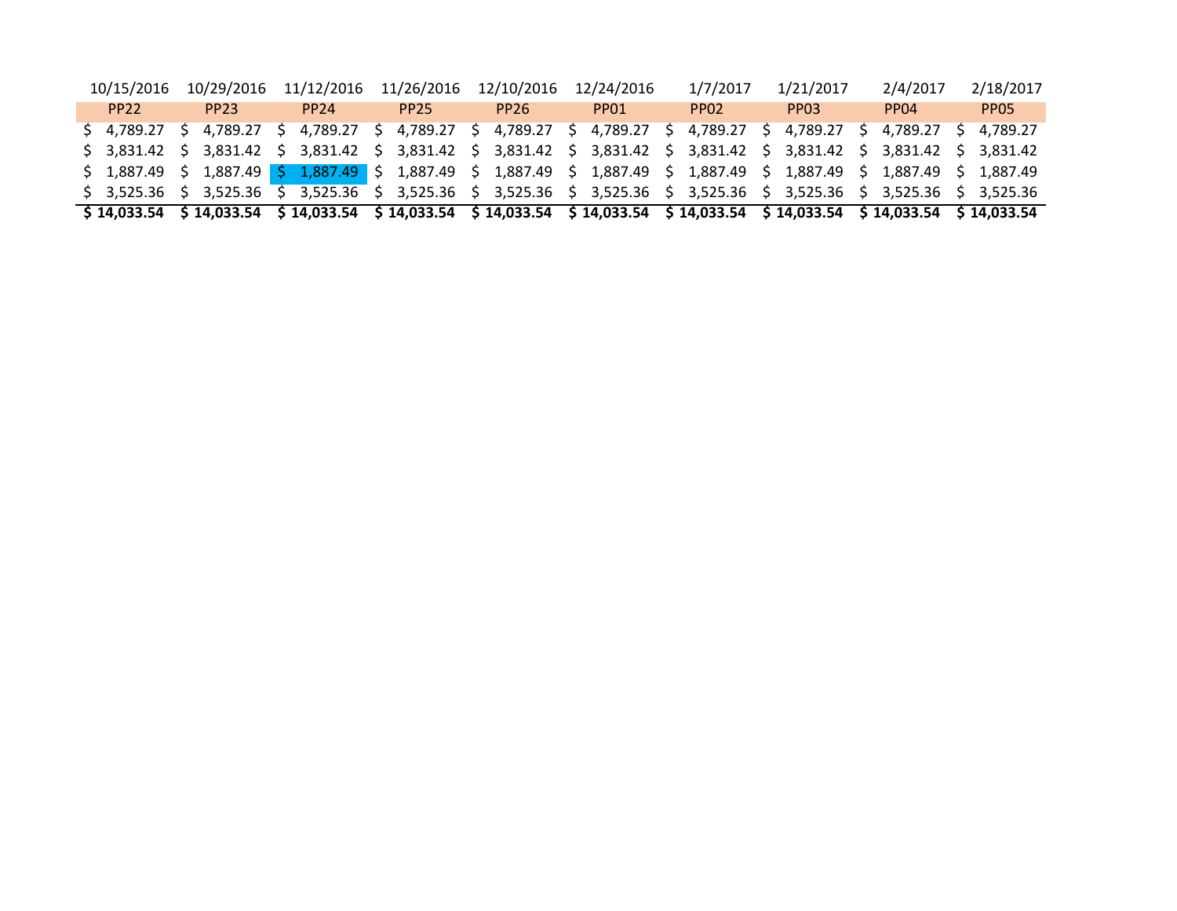| $$14,033.54$ $$14,033.54$ $$14,033.54$ $$14,033.54$ $$14,033.54$ $$14,033.54$ $$14,033.54$ $$14,033.54$ $$14,033.54$ $$14,033.54$ |                  |                  |                  |                  |                  |                  |                  |                  |                  |
|-----------------------------------------------------------------------------------------------------------------------------------|------------------|------------------|------------------|------------------|------------------|------------------|------------------|------------------|------------------|
| \$ 3,525.36 \$ 3,525.36 \$ 3,525.36 \$ 3,525.36 \$ 3,525.36 \$ 3,525.36 \$ 3,525.36 \$ 3,525.36 \$ 3,525.36 \$ 3,525.36           |                  |                  |                  |                  |                  |                  |                  |                  |                  |
| \$ 1,887.49 \$ 1,887.49 \$ 1,887.49 \$ 1,887.49 \$ 1,887.49 \$ 1,887.49 \$ 1,887.49 \$ 1,887.49 \$ 1,887.49 \$ 1,887.49           |                  |                  |                  |                  |                  |                  |                  |                  |                  |
| \$ 3,831.42 \$ 3,831.42 \$ 3,831.42 \$ 3,831.42 \$ 3,831.42 \$ 3,831.42 \$ 3,831.42 \$ 3,831.42 \$ 3,831.42 \$ 3,831.42           |                  |                  |                  |                  |                  |                  |                  |                  |                  |
| \$ 4,789.27 \$ 4,789.27 \$ 4,789.27 \$ 4,789.27 \$ 4,789.27 \$ 4,789.27 \$ 4,789.27 \$ 4,789.27 \$ 4,789.27 \$ 4,789.27           |                  |                  |                  |                  |                  |                  |                  |                  |                  |
| PP <sub>22</sub>                                                                                                                  | PP <sub>23</sub> | PP <sub>24</sub> | PP <sub>25</sub> | PP <sub>26</sub> | PP <sub>01</sub> | PP <sub>02</sub> | PP <sub>03</sub> | PP <sub>04</sub> | PP <sub>05</sub> |
| 10/15/2016                                                                                                                        | 10/29/2016       | 11/12/2016       | 11/26/2016       | 12/10/2016       | 12/24/2016       | 1/7/2017         | 1/21/2017        | 2/4/2017         | 2/18/2017        |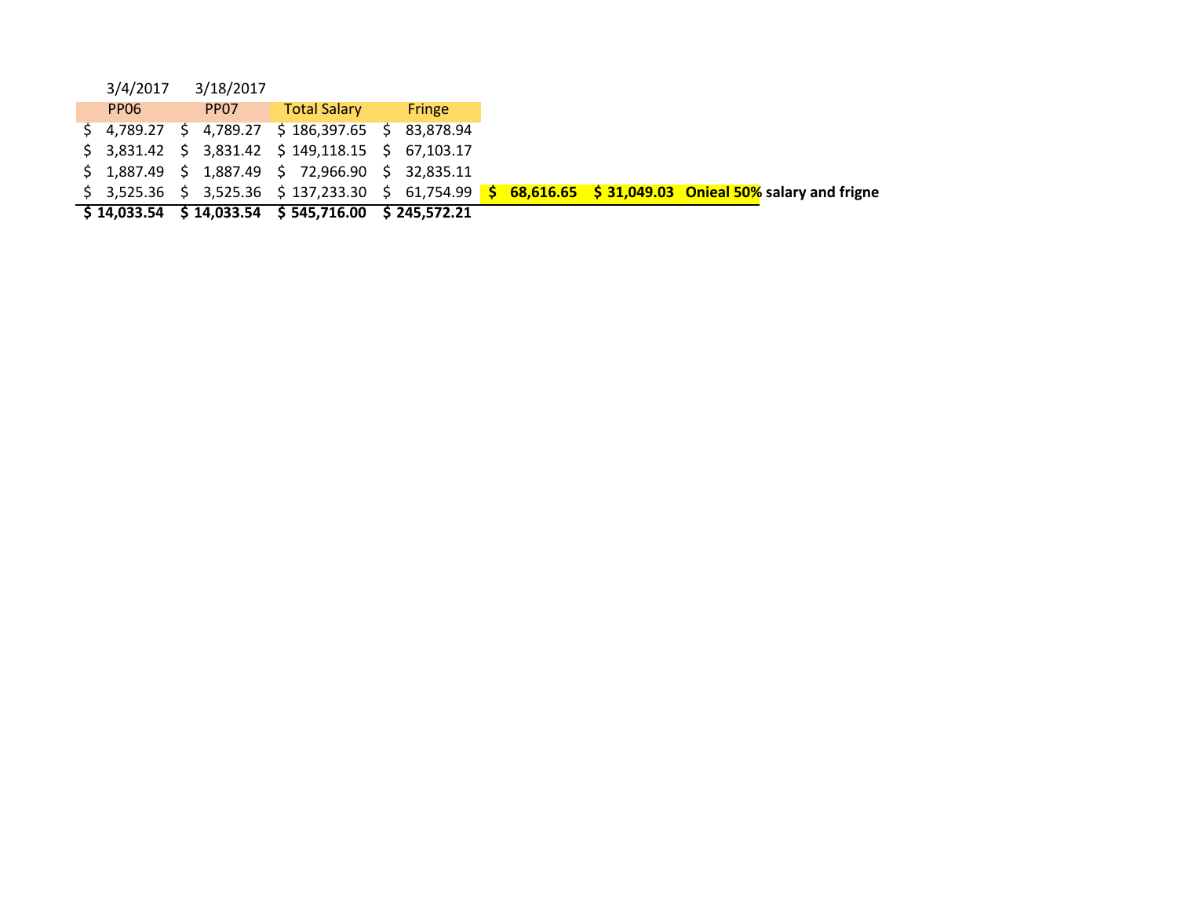|                  |           | $\frac{1}{2}$ \$ 14,033.54 \$ 14,033.54 \$ 545,716.00 \$ 245,572.21                                          |               |  |  |                                                       |
|------------------|-----------|--------------------------------------------------------------------------------------------------------------|---------------|--|--|-------------------------------------------------------|
|                  |           | $\frac{1}{5}$ 3,525.36 $\frac{1}{5}$ 3,525.36 $\frac{1}{5}$ 137,233.30 $\frac{1}{5}$ 61,754.99 $\frac{1}{5}$ |               |  |  | $68,616.65$ \$ 31,049.03 Onieal 50% salary and frigne |
|                  |           | $$1,887.49$ $$1,887.49$ $$72,966.90$ $$32,835.11$                                                            |               |  |  |                                                       |
|                  |           | $$3,831.42 \t$3,831.42 \t$149,118.15 \t$67,103.17$                                                           |               |  |  |                                                       |
|                  |           | $$4,789.27$ $$4,789.27$ $$186,397.65$ $$83,878.94$                                                           |               |  |  |                                                       |
| PP <sub>06</sub> |           | <b>PP07</b> Total Salary                                                                                     | <b>Fringe</b> |  |  |                                                       |
| 3/4/2017         | 3/18/2017 |                                                                                                              |               |  |  |                                                       |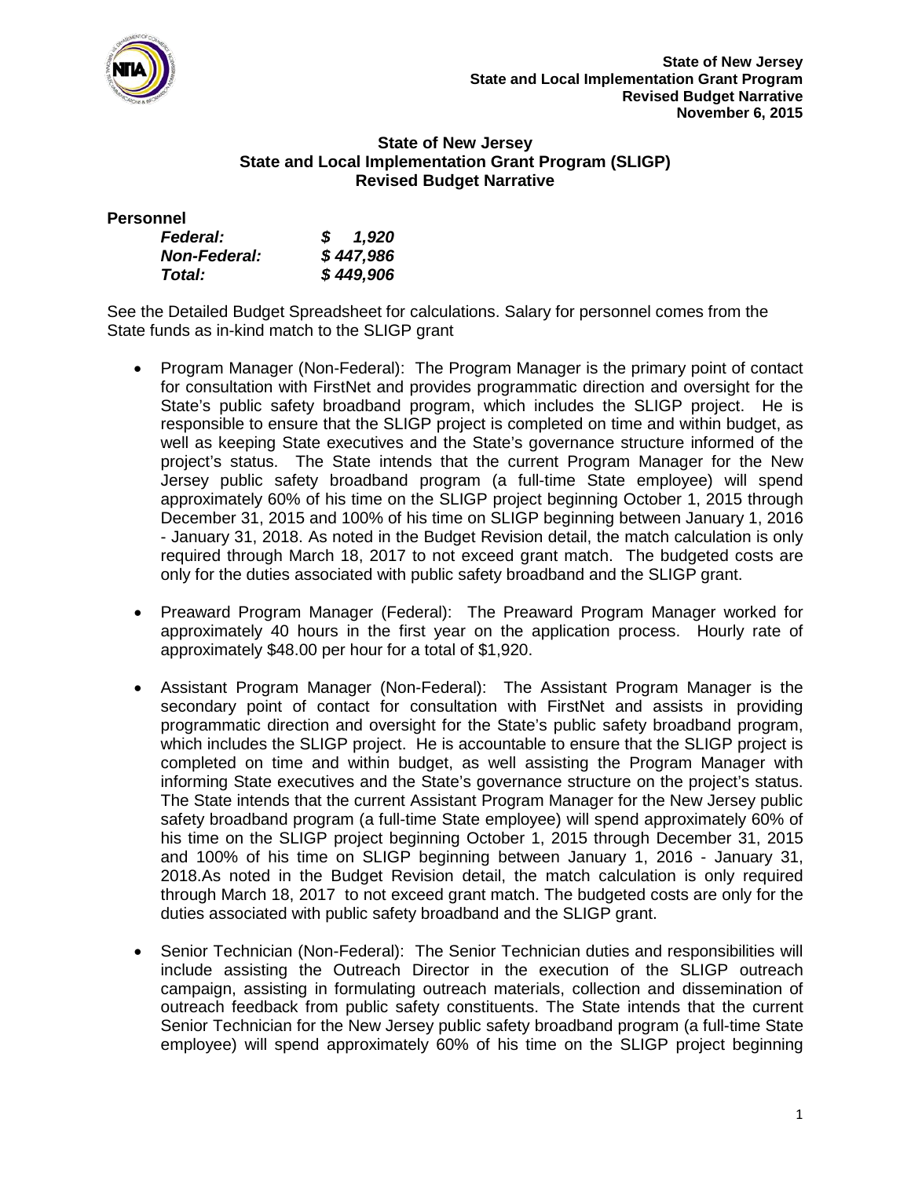

## **State of New Jersey State and Local Implementation Grant Program (SLIGP) Revised Budget Narrative**

**Personnel**

| <b>Federal:</b>     | 1,920<br>S. |
|---------------------|-------------|
| <b>Non-Federal:</b> | \$447,986   |
| Total:              | \$449,906   |

See the Detailed Budget Spreadsheet for calculations. Salary for personnel comes from the State funds as in-kind match to the SLIGP grant

- Program Manager (Non-Federal): The Program Manager is the primary point of contact for consultation with FirstNet and provides programmatic direction and oversight for the State's public safety broadband program, which includes the SLIGP project. He is responsible to ensure that the SLIGP project is completed on time and within budget, as well as keeping State executives and the State's governance structure informed of the project's status. The State intends that the current Program Manager for the New Jersey public safety broadband program (a full-time State employee) will spend approximately 60% of his time on the SLIGP project beginning October 1, 2015 through December 31, 2015 and 100% of his time on SLIGP beginning between January 1, 2016 - January 31, 2018. As noted in the Budget Revision detail, the match calculation is only required through March 18, 2017 to not exceed grant match. The budgeted costs are only for the duties associated with public safety broadband and the SLIGP grant.
- Preaward Program Manager (Federal): The Preaward Program Manager worked for approximately 40 hours in the first year on the application process. Hourly rate of approximately \$48.00 per hour for a total of \$1,920.
- Assistant Program Manager (Non-Federal): The Assistant Program Manager is the secondary point of contact for consultation with FirstNet and assists in providing programmatic direction and oversight for the State's public safety broadband program, which includes the SLIGP project. He is accountable to ensure that the SLIGP project is completed on time and within budget, as well assisting the Program Manager with informing State executives and the State's governance structure on the project's status. The State intends that the current Assistant Program Manager for the New Jersey public safety broadband program (a full-time State employee) will spend approximately 60% of his time on the SLIGP project beginning October 1, 2015 through December 31, 2015 and 100% of his time on SLIGP beginning between January 1, 2016 - January 31, 2018.As noted in the Budget Revision detail, the match calculation is only required through March 18, 2017 to not exceed grant match. The budgeted costs are only for the duties associated with public safety broadband and the SLIGP grant.
- Senior Technician (Non-Federal): The Senior Technician duties and responsibilities will include assisting the Outreach Director in the execution of the SLIGP outreach campaign, assisting in formulating outreach materials, collection and dissemination of outreach feedback from public safety constituents. The State intends that the current Senior Technician for the New Jersey public safety broadband program (a full-time State employee) will spend approximately 60% of his time on the SLIGP project beginning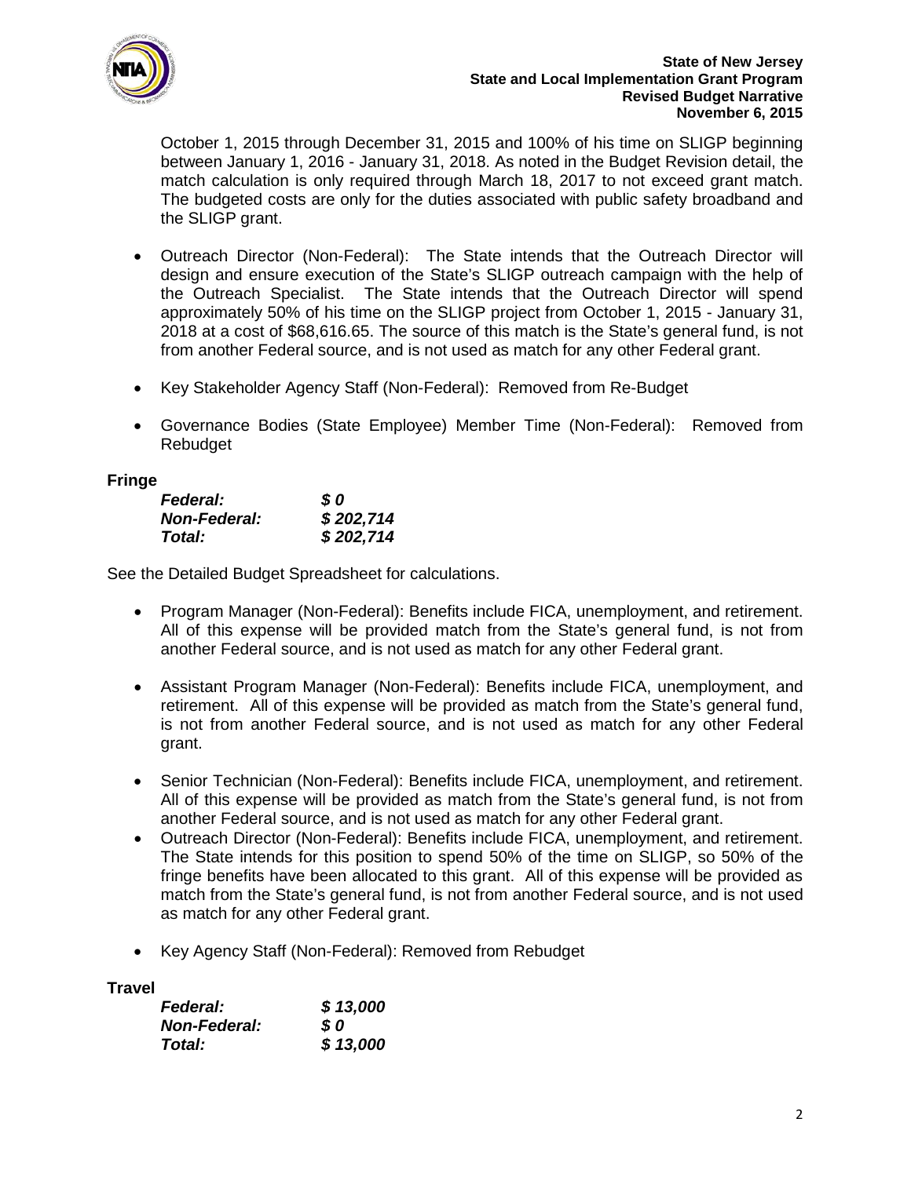

October 1, 2015 through December 31, 2015 and 100% of his time on SLIGP beginning between January 1, 2016 - January 31, 2018. As noted in the Budget Revision detail, the match calculation is only required through March 18, 2017 to not exceed grant match. The budgeted costs are only for the duties associated with public safety broadband and the SLIGP grant.

- Outreach Director (Non-Federal): The State intends that the Outreach Director will design and ensure execution of the State's SLIGP outreach campaign with the help of the Outreach Specialist. The State intends that the Outreach Director will spend approximately 50% of his time on the SLIGP project from October 1, 2015 - January 31, 2018 at a cost of \$68,616.65. The source of this match is the State's general fund, is not from another Federal source, and is not used as match for any other Federal grant.
- Key Stakeholder Agency Staff (Non-Federal): Removed from Re-Budget
- Governance Bodies (State Employee) Member Time (Non-Federal): Removed from Rebudget

## **Fringe**

| <b>Federal:</b>     | S 0       |
|---------------------|-----------|
| <b>Non-Federal:</b> | \$202,714 |
| Total:              | \$202,714 |

See the Detailed Budget Spreadsheet for calculations.

- Program Manager (Non-Federal): Benefits include FICA, unemployment, and retirement. All of this expense will be provided match from the State's general fund, is not from another Federal source, and is not used as match for any other Federal grant.
- Assistant Program Manager (Non-Federal): Benefits include FICA, unemployment, and retirement. All of this expense will be provided as match from the State's general fund, is not from another Federal source, and is not used as match for any other Federal grant.
- Senior Technician (Non-Federal): Benefits include FICA, unemployment, and retirement. All of this expense will be provided as match from the State's general fund, is not from another Federal source, and is not used as match for any other Federal grant.
- Outreach Director (Non-Federal): Benefits include FICA, unemployment, and retirement. The State intends for this position to spend 50% of the time on SLIGP, so 50% of the fringe benefits have been allocated to this grant. All of this expense will be provided as match from the State's general fund, is not from another Federal source, and is not used as match for any other Federal grant.
- Key Agency Staff (Non-Federal): Removed from Rebudget

## **Travel**

| <b>Federal:</b>     | \$13,000 |
|---------------------|----------|
| <b>Non-Federal:</b> | S 0      |
| Total:              | \$13,000 |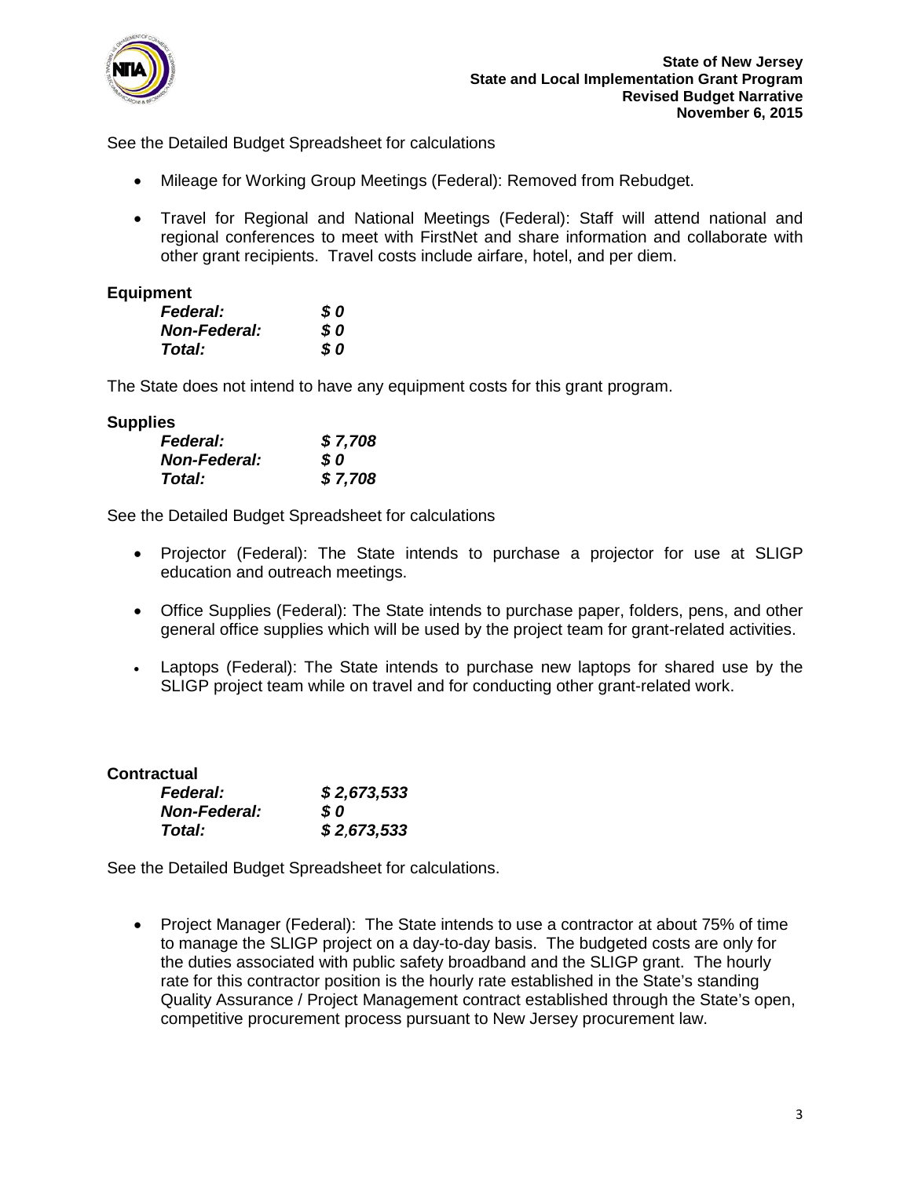

See the Detailed Budget Spreadsheet for calculations

- Mileage for Working Group Meetings (Federal): Removed from Rebudget.
- Travel for Regional and National Meetings (Federal): Staff will attend national and regional conferences to meet with FirstNet and share information and collaborate with other grant recipients. Travel costs include airfare, hotel, and per diem.

## **Equipment**

| <b>Federal:</b>     | S 0 |
|---------------------|-----|
| <b>Non-Federal:</b> | S 0 |
| Total:              | S 0 |

The State does not intend to have any equipment costs for this grant program.

## **Supplies**

| <b>Federal:</b>     | \$7,708 |
|---------------------|---------|
| <b>Non-Federal:</b> | S 0     |
| Total:              | \$7,708 |

See the Detailed Budget Spreadsheet for calculations

- Projector (Federal): The State intends to purchase a projector for use at SLIGP education and outreach meetings.
- Office Supplies (Federal): The State intends to purchase paper, folders, pens, and other general office supplies which will be used by the project team for grant-related activities.
- Laptops (Federal): The State intends to purchase new laptops for shared use by the SLIGP project team while on travel and for conducting other grant-related work.

| Contractual         |             |
|---------------------|-------------|
| <b>Federal:</b>     | \$2,673,533 |
| <b>Non-Federal:</b> | SO.         |
| <b>Total:</b>       | \$2,673,533 |

See the Detailed Budget Spreadsheet for calculations.

• Project Manager (Federal): The State intends to use a contractor at about 75% of time to manage the SLIGP project on a day-to-day basis. The budgeted costs are only for the duties associated with public safety broadband and the SLIGP grant. The hourly rate for this contractor position is the hourly rate established in the State's standing Quality Assurance / Project Management contract established through the State's open, competitive procurement process pursuant to New Jersey procurement law.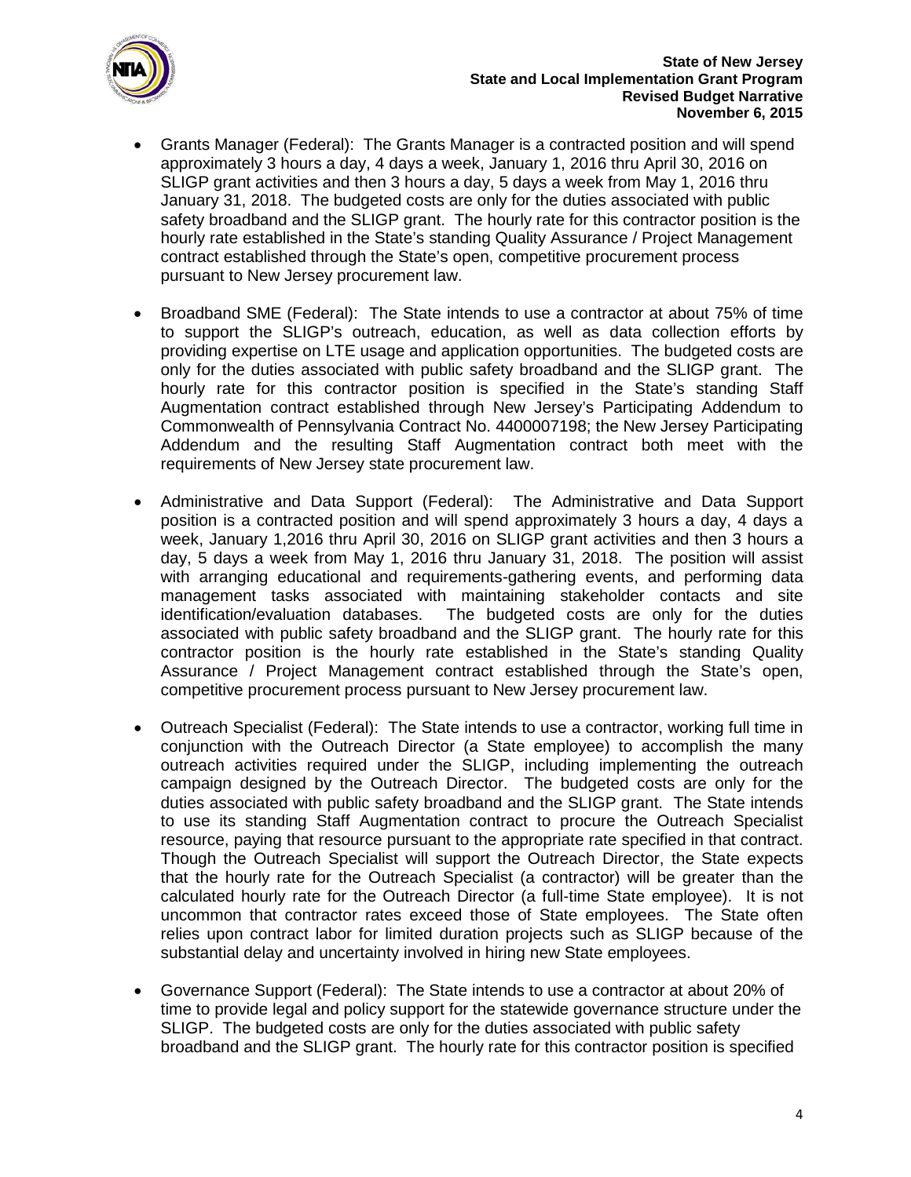

- Grants Manager (Federal): The Grants Manager is a contracted position and will spend approximately 3 hours a day, 4 days a week, January 1, 2016 thru April 30, 2016 on SLIGP grant activities and then 3 hours a day, 5 days a week from May 1, 2016 thru January 31, 2018. The budgeted costs are only for the duties associated with public safety broadband and the SLIGP grant. The hourly rate for this contractor position is the hourly rate established in the State's standing Quality Assurance / Project Management contract established through the State's open, competitive procurement process pursuant to New Jersey procurement law.
- Broadband SME (Federal): The State intends to use a contractor at about 75% of time to support the SLIGP's outreach, education, as well as data collection efforts by providing expertise on LTE usage and application opportunities. The budgeted costs are only for the duties associated with public safety broadband and the SLIGP grant. The hourly rate for this contractor position is specified in the State's standing Staff Augmentation contract established through New Jersey's Participating Addendum to Commonwealth of Pennsylvania Contract No. 4400007198; the New Jersey Participating Addendum and the resulting Staff Augmentation contract both meet with the requirements of New Jersey state procurement law.
- Administrative and Data Support (Federal): The Administrative and Data Support position is a contracted position and will spend approximately 3 hours a day, 4 days a week, January 1,2016 thru April 30, 2016 on SLIGP grant activities and then 3 hours a day, 5 days a week from May 1, 2016 thru January 31, 2018. The position will assist with arranging educational and requirements-gathering events, and performing data management tasks associated with maintaining stakeholder contacts and site identification/evaluation databases. The budgeted costs are only for the duties associated with public safety broadband and the SLIGP grant. The hourly rate for this contractor position is the hourly rate established in the State's standing Quality Assurance / Project Management contract established through the State's open, competitive procurement process pursuant to New Jersey procurement law.
- Outreach Specialist (Federal): The State intends to use a contractor, working full time in conjunction with the Outreach Director (a State employee) to accomplish the many outreach activities required under the SLIGP, including implementing the outreach campaign designed by the Outreach Director. The budgeted costs are only for the duties associated with public safety broadband and the SLIGP grant. The State intends to use its standing Staff Augmentation contract to procure the Outreach Specialist resource, paying that resource pursuant to the appropriate rate specified in that contract. Though the Outreach Specialist will support the Outreach Director, the State expects that the hourly rate for the Outreach Specialist (a contractor) will be greater than the calculated hourly rate for the Outreach Director (a full-time State employee). It is not uncommon that contractor rates exceed those of State employees. The State often relies upon contract labor for limited duration projects such as SLIGP because of the substantial delay and uncertainty involved in hiring new State employees.
- Governance Support (Federal): The State intends to use a contractor at about 20% of time to provide legal and policy support for the statewide governance structure under the SLIGP. The budgeted costs are only for the duties associated with public safety broadband and the SLIGP grant. The hourly rate for this contractor position is specified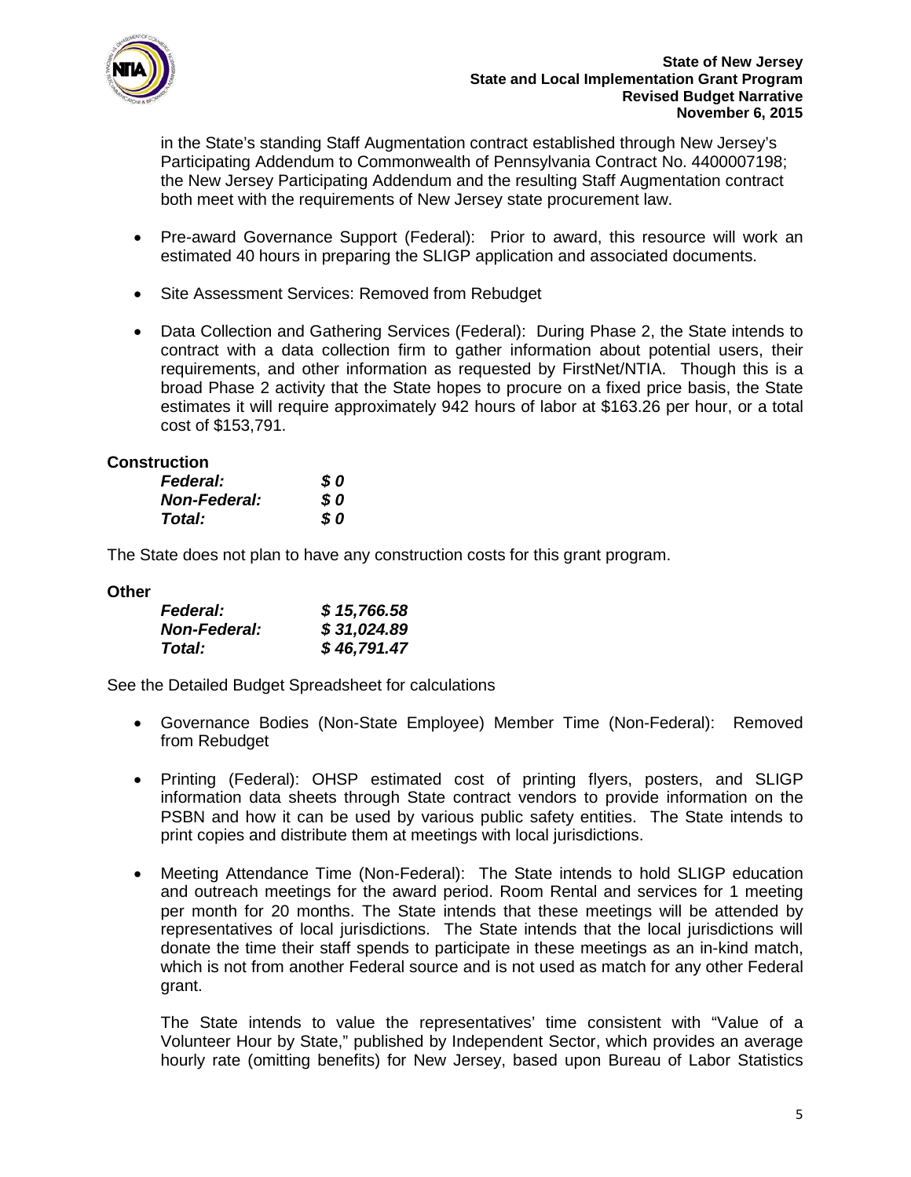

in the State's standing Staff Augmentation contract established through New Jersey's Participating Addendum to Commonwealth of Pennsylvania Contract No. 4400007198; the New Jersey Participating Addendum and the resulting Staff Augmentation contract both meet with the requirements of New Jersey state procurement law.

- Pre-award Governance Support (Federal): Prior to award, this resource will work an estimated 40 hours in preparing the SLIGP application and associated documents.
- Site Assessment Services: Removed from Rebudget
- Data Collection and Gathering Services (Federal): During Phase 2, the State intends to contract with a data collection firm to gather information about potential users, their requirements, and other information as requested by FirstNet/NTIA. Though this is a broad Phase 2 activity that the State hopes to procure on a fixed price basis, the State estimates it will require approximately 942 hours of labor at \$163.26 per hour, or a total cost of \$153,791.

## **Construction**

| <b>Federal:</b>     | S 0 |
|---------------------|-----|
| <b>Non-Federal:</b> | S 0 |
| Total:              | S 0 |

The State does not plan to have any construction costs for this grant program.

## **Other**

| <b>Federal:</b>     | \$15,766.58 |
|---------------------|-------------|
| <b>Non-Federal:</b> | \$31,024.89 |
| Total:              | \$46,791.47 |

See the Detailed Budget Spreadsheet for calculations

- Governance Bodies (Non-State Employee) Member Time (Non-Federal): Removed from Rebudget
- Printing (Federal): OHSP estimated cost of printing flyers, posters, and SLIGP information data sheets through State contract vendors to provide information on the PSBN and how it can be used by various public safety entities. The State intends to print copies and distribute them at meetings with local jurisdictions.
- Meeting Attendance Time (Non-Federal): The State intends to hold SLIGP education and outreach meetings for the award period. Room Rental and services for 1 meeting per month for 20 months. The State intends that these meetings will be attended by representatives of local jurisdictions. The State intends that the local jurisdictions will donate the time their staff spends to participate in these meetings as an in-kind match, which is not from another Federal source and is not used as match for any other Federal grant.

The State intends to value the representatives' time consistent with "Value of a Volunteer Hour by State," published by Independent Sector, which provides an average hourly rate (omitting benefits) for New Jersey, based upon Bureau of Labor Statistics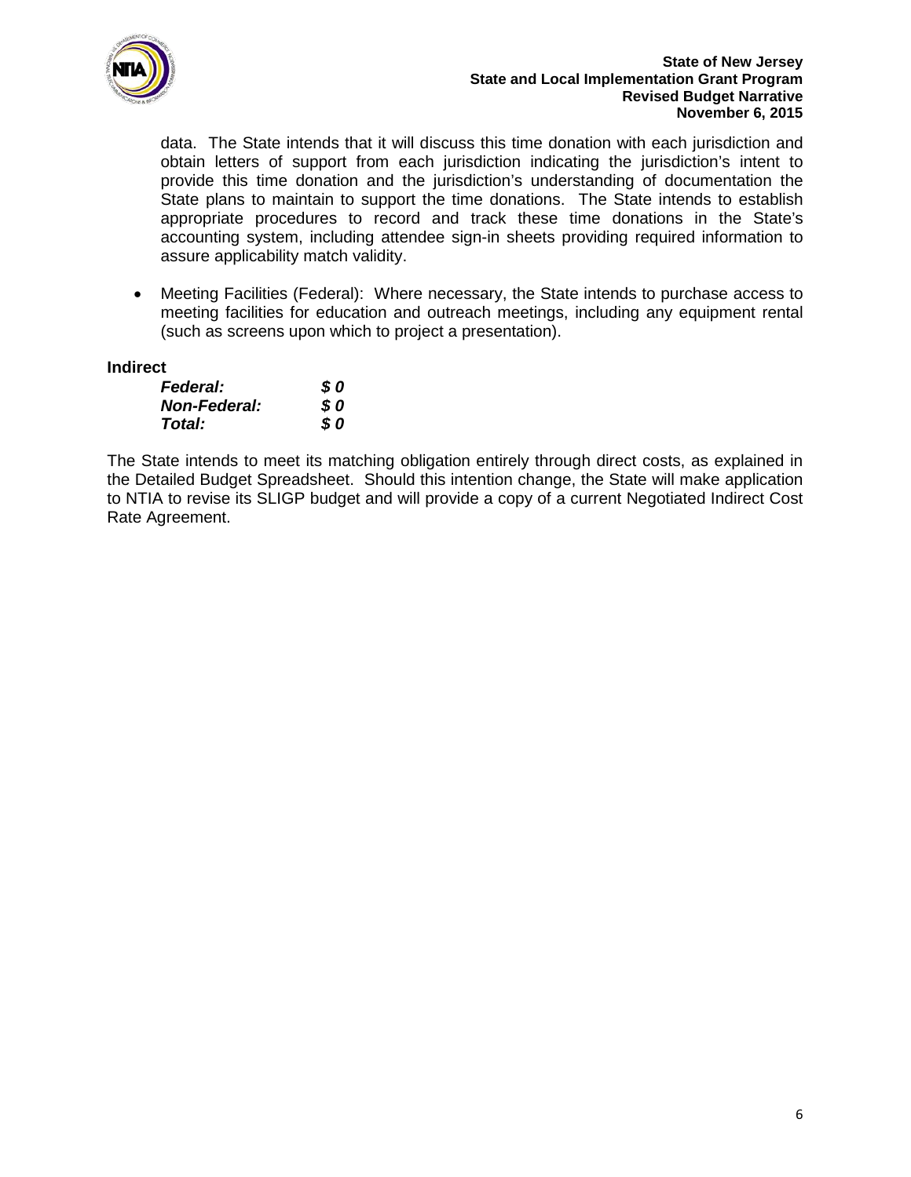

#### **State of New Jersey State and Local Implementation Grant Program Revised Budget Narrative November 6, 2015**

data. The State intends that it will discuss this time donation with each jurisdiction and obtain letters of support from each jurisdiction indicating the jurisdiction's intent to provide this time donation and the jurisdiction's understanding of documentation the State plans to maintain to support the time donations. The State intends to establish appropriate procedures to record and track these time donations in the State's accounting system, including attendee sign-in sheets providing required information to assure applicability match validity.

• Meeting Facilities (Federal): Where necessary, the State intends to purchase access to meeting facilities for education and outreach meetings, including any equipment rental (such as screens upon which to project a presentation).

## **Indirect**

| <b>Federal:</b>     | <b>SO</b> |
|---------------------|-----------|
| <b>Non-Federal:</b> | S 0       |
| Total:              | S 0       |

The State intends to meet its matching obligation entirely through direct costs, as explained in the Detailed Budget Spreadsheet. Should this intention change, the State will make application to NTIA to revise its SLIGP budget and will provide a copy of a current Negotiated Indirect Cost Rate Agreement.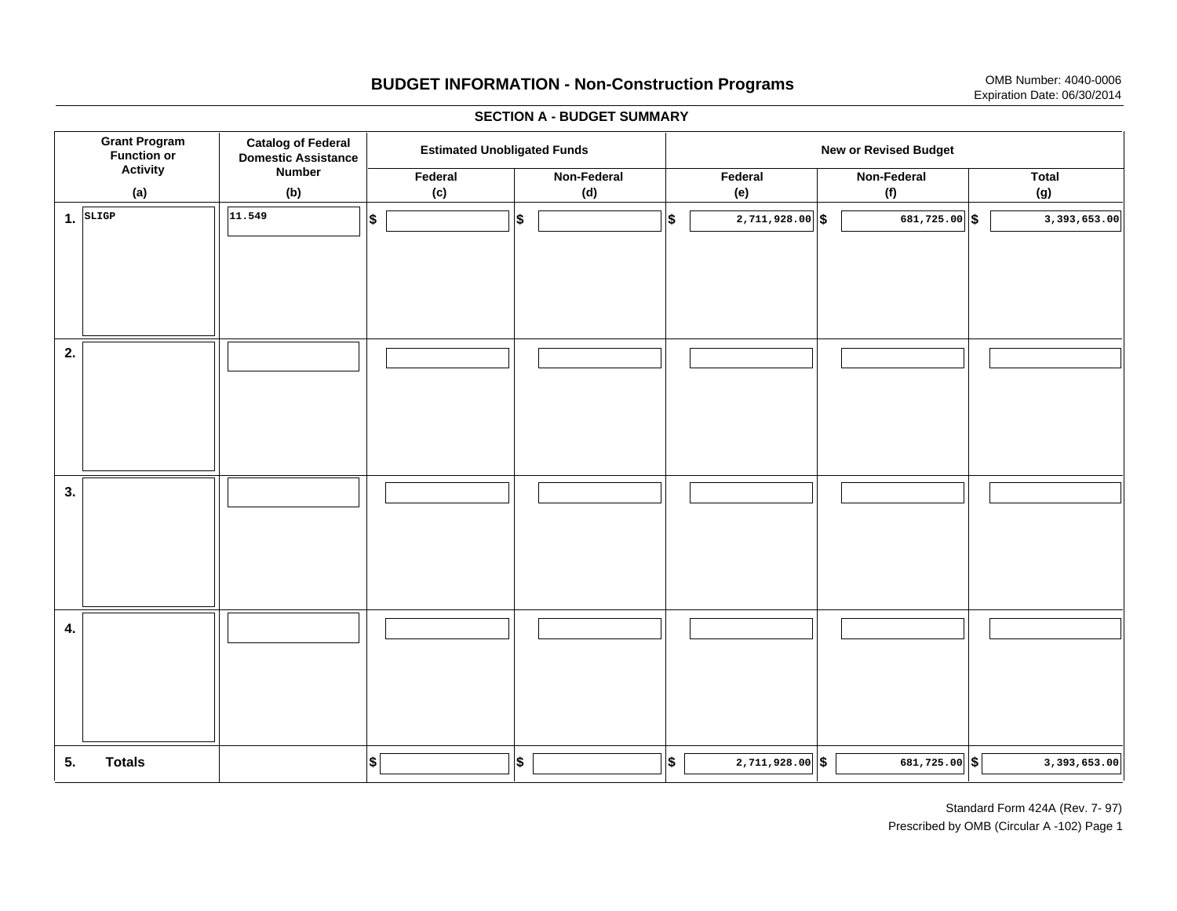# **BUDGET INFORMATION - Non-Construction Programs** OMB Number: 4040-0006 Expiration Date: 06/30/2014

**\$ Grant Program Function or Activity (a) Catalog of Federal Domestic Assistance Number (b) Estimated Unobligated Funds New or Revised Budget Federal (c) Non-Federal(d) Federal(e) Non-Federal (f) Total(g) 5. Totals4. 3. 2. 1.SLIGP**. SLIGP || |11.549 | |\$ | ||\$ | ||\$ | 2,711,928.00||\$ | 681,725.00||\$ **\$ \$ \$ \$ \$ 2,711,928.00 681,725.00 3,393,653.00 11.549 2,711,928.00 681,725.00 3,393,653.00**

#### **SECTION A - BUDGET SUMMARY**

Standard Form 424A (Rev. 7- 97) Prescribed by OMB (Circular A -102) Page 1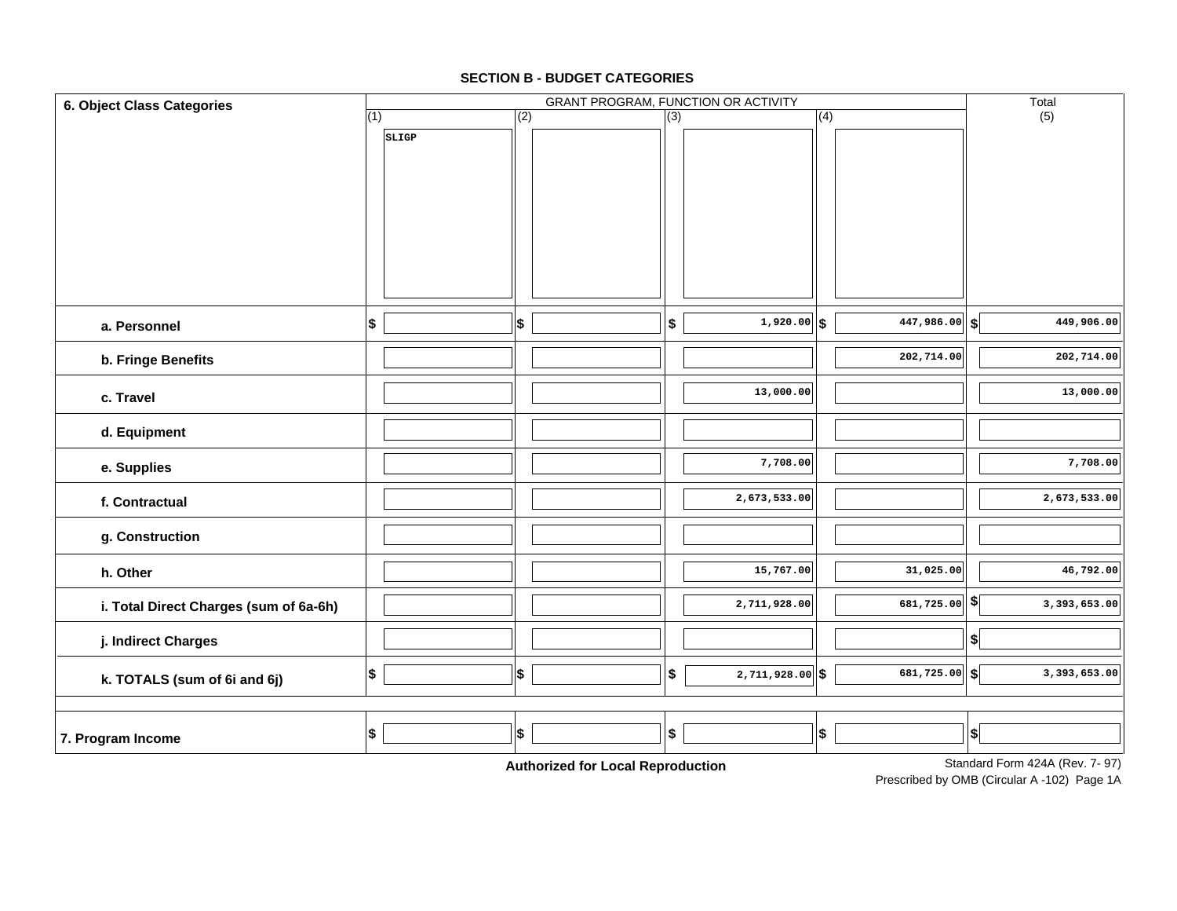### **SECTION B - BUDGET CATEGORIES**

| 6. Object Class Categories             |                          | Total |                         |                        |                                                                |
|----------------------------------------|--------------------------|-------|-------------------------|------------------------|----------------------------------------------------------------|
|                                        | (1)                      | (2)   | $\overline{(3)}$        | (4)                    | (5)                                                            |
|                                        | SLIGP                    |       |                         |                        |                                                                |
| a. Personnel                           | $\vert \mathsf{s} \vert$ | \$    | $1,920.00$ \$<br>\$     | $\sqrt{447,986.00}$ \$ | 449,906.00                                                     |
| b. Fringe Benefits                     |                          |       |                         | 202,714.00             | 202,714.00                                                     |
| c. Travel                              |                          |       | 13,000.00               |                        | 13,000.00                                                      |
| d. Equipment                           |                          |       |                         |                        |                                                                |
| e. Supplies                            |                          |       | 7,708.00                |                        | 7,708.00                                                       |
| f. Contractual                         |                          |       | 2,673,533.00            |                        | 2,673,533.00                                                   |
| g. Construction                        |                          |       |                         |                        |                                                                |
| h. Other                               |                          |       | 15,767.00               | 31,025.00              | 46,792.00                                                      |
| i. Total Direct Charges (sum of 6a-6h) |                          |       | 2,711,928.00            | 681,725.00 $ \$$       | 3,393,653.00                                                   |
| j. Indirect Charges                    |                          |       |                         |                        | $\left  \right\rangle$                                         |
| k. TOTALS (sum of 6i and 6j)           | \$                       | 5     | $2,711,928.00$ \$<br>\$ | 681,725.00 $  $ \$     | 3,393,653.00                                                   |
|                                        |                          |       |                         |                        |                                                                |
| 7. Program Income                      | \$                       | \$    | \$                      | \$                     | $ \boldsymbol{\mathsf{s}} $<br>Standard Form $124A$ (Pou 7 07) |

**Authorized for Local Reproduction**

Standard Form 424A (Rev. 7- 97)

Prescribed by OMB (Circular A -102) Page 1A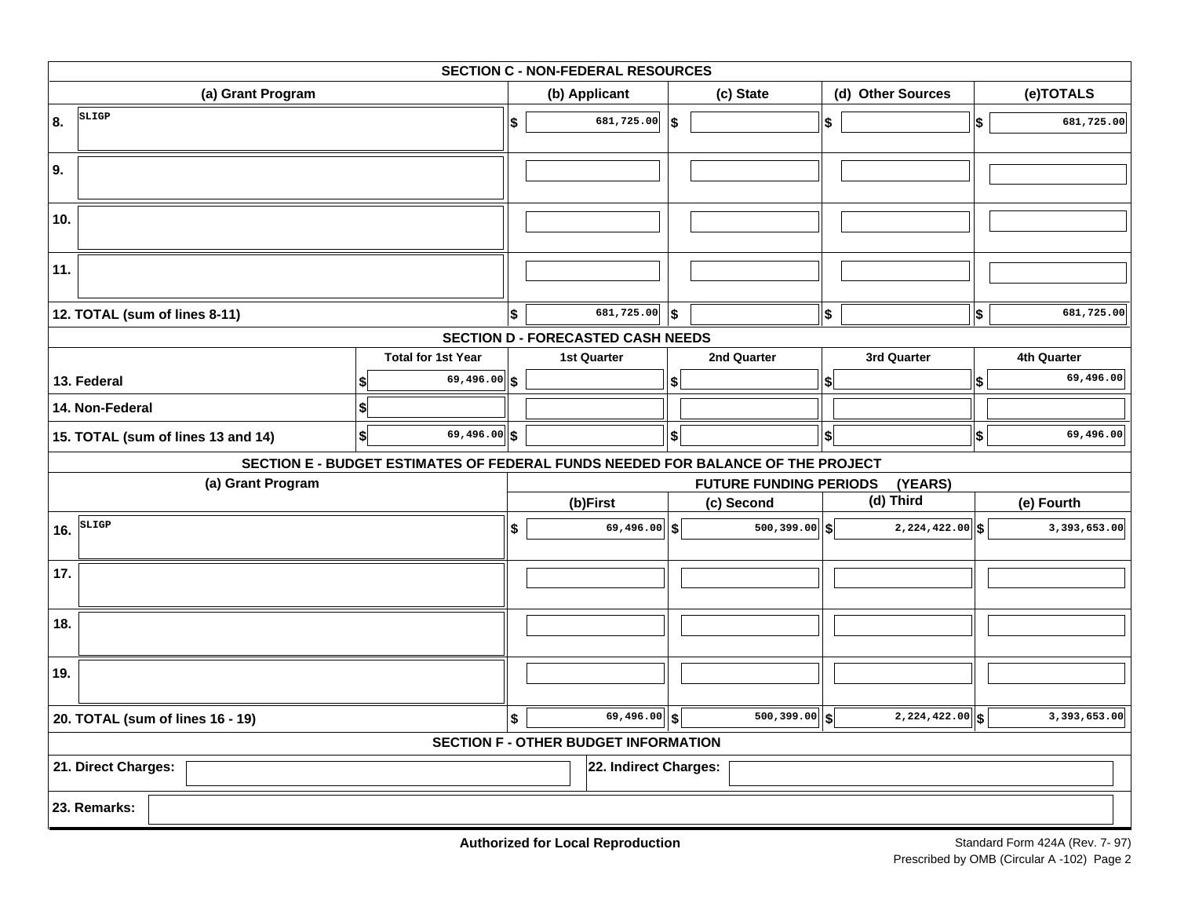| <b>SECTION C - NON-FEDERAL RESOURCES</b>     |                                                                                 |    |                                          |            |                               |                         |                              |                  |
|----------------------------------------------|---------------------------------------------------------------------------------|----|------------------------------------------|------------|-------------------------------|-------------------------|------------------------------|------------------|
| (a) Grant Program                            |                                                                                 |    | (b) Applicant                            |            | (c) State                     |                         | (d) Other Sources            | (e)TOTALS        |
| SLIGP<br>8.                                  |                                                                                 | \$ | 681,725.00                               | 5          |                               | $\sqrt[6]{\frac{1}{2}}$ |                              | \$<br>681,725.00 |
| 9.                                           |                                                                                 |    |                                          |            |                               |                         |                              |                  |
| 10.                                          |                                                                                 |    |                                          |            |                               |                         |                              |                  |
| 11.                                          |                                                                                 |    |                                          |            |                               |                         |                              |                  |
| 12. TOTAL (sum of lines 8-11)                |                                                                                 | \$ | 681,725.00                               | $\vert$ \$ |                               | \$                      |                              | \$<br>681,725.00 |
|                                              |                                                                                 |    | <b>SECTION D - FORECASTED CASH NEEDS</b> |            |                               |                         |                              |                  |
|                                              | <b>Total for 1st Year</b>                                                       |    | <b>1st Quarter</b>                       |            | 2nd Quarter                   |                         | 3rd Quarter                  | 4th Quarter      |
| 13. Federal                                  | 69,496.00 \$                                                                    |    |                                          | \$         |                               | \$                      |                              | \$<br>69,496.00  |
| 14. Non-Federal                              |                                                                                 |    |                                          |            |                               |                         |                              |                  |
| 15. TOTAL (sum of lines 13 and 14)           | 69,496.00 \$<br>\$                                                              |    |                                          | \$         |                               | $\vert$ \$ $\vert$      |                              | \$<br>69,496.00  |
|                                              | SECTION E - BUDGET ESTIMATES OF FEDERAL FUNDS NEEDED FOR BALANCE OF THE PROJECT |    |                                          |            |                               |                         |                              |                  |
| (a) Grant Program                            |                                                                                 |    |                                          |            | <b>FUTURE FUNDING PERIODS</b> |                         | (YEARS)                      |                  |
|                                              |                                                                                 |    | (b)First                                 |            | (c) Second                    |                         | (d) Third                    | (e) Fourth       |
| SLIGP<br>16.                                 |                                                                                 | \$ | $69,496.00$ \\$                          |            | 500,399.00                    | S.                      | $2,224,422.00$ \$            | 3,393,653.00     |
| 17.                                          |                                                                                 |    |                                          |            |                               |                         |                              |                  |
| 18.                                          |                                                                                 |    |                                          |            |                               |                         |                              |                  |
| 19.                                          |                                                                                 |    |                                          |            |                               |                         |                              |                  |
| 20. TOTAL (sum of lines 16 - 19)             |                                                                                 | \$ | $\overline{69,}496.00$ \\$               |            | 500,399.00                    | S                       | $\overline{2,224,422.00}$ \$ | 3,393,653.00     |
| <b>SECTION F - OTHER BUDGET INFORMATION</b>  |                                                                                 |    |                                          |            |                               |                         |                              |                  |
| 21. Direct Charges:<br>22. Indirect Charges: |                                                                                 |    |                                          |            |                               |                         |                              |                  |
| 23. Remarks:                                 |                                                                                 |    |                                          |            |                               |                         |                              |                  |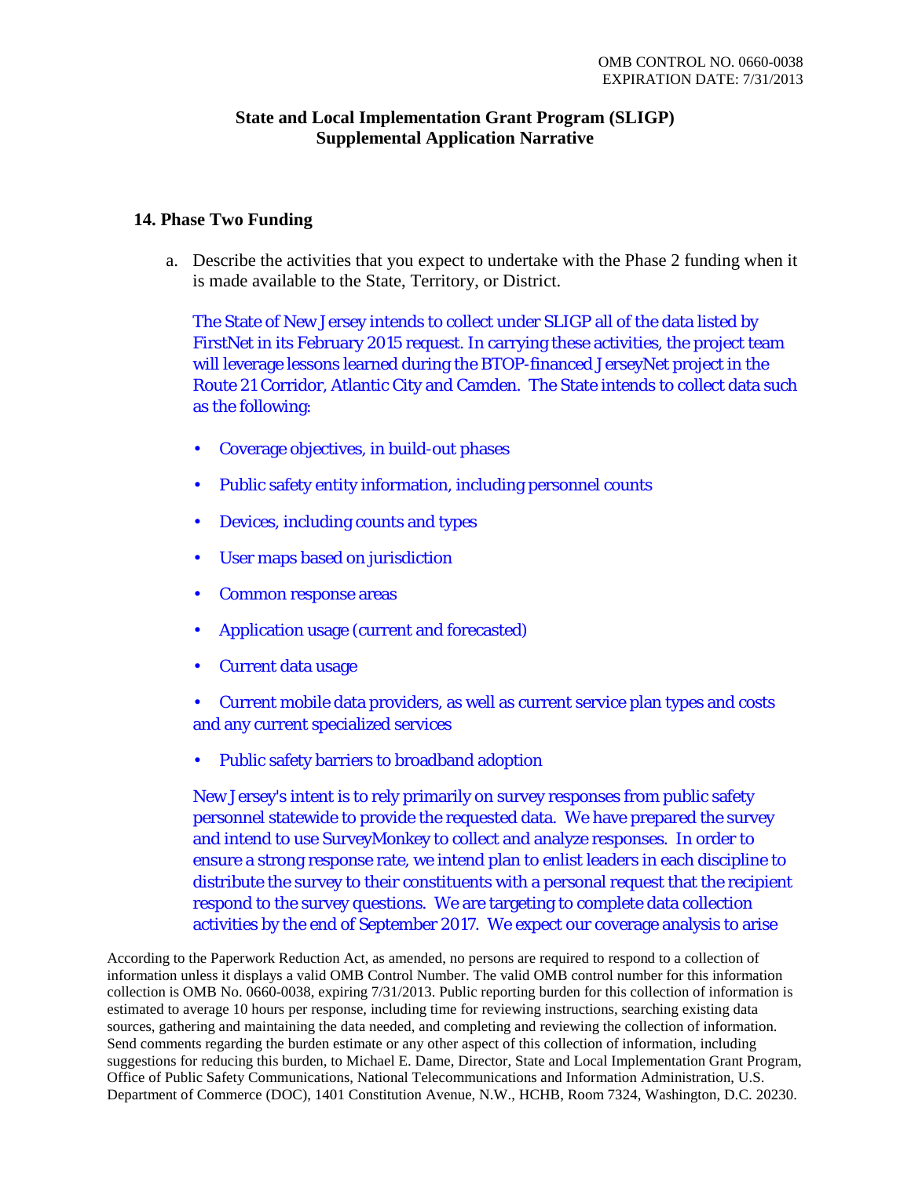## **State and Local Implementation Grant Program (SLIGP) Supplemental Application Narrative**

## **14. Phase Two Funding**

a. Describe the activities that you expect to undertake with the Phase 2 funding when it is made available to the State, Territory, or District.

The State of New Jersey intends to collect under SLIGP all of the data listed by FirstNet in its February 2015 request. In carrying these activities, the project team will leverage lessons learned during the BTOP-financed JerseyNet project in the Route 21 Corridor, Atlantic City and Camden. The State intends to collect data such as the following:

- Coverage objectives, in build-out phases
- Public safety entity information, including personnel counts
- Devices, including counts and types
- User maps based on jurisdiction
- Common response areas
- Application usage (current and forecasted)
- Current data usage
- Current mobile data providers, as well as current service plan types and costs and any current specialized services
- Public safety barriers to broadband adoption

New Jersey's intent is to rely primarily on survey responses from public safety personnel statewide to provide the requested data. We have prepared the survey and intend to use SurveyMonkey to collect and analyze responses. In order to ensure a strong response rate, we intend plan to enlist leaders in each discipline to distribute the survey to their constituents with a personal request that the recipient respond to the survey questions. We are targeting to complete data collection activities by the end of September 2017. We expect our coverage analysis to arise

According to the Paperwork Reduction Act, as amended, no persons are required to respond to a collection of information unless it displays a valid OMB Control Number. The valid OMB control number for this information collection is OMB No. 0660-0038, expiring 7/31/2013. Public reporting burden for this collection of information is estimated to average 10 hours per response, including time for reviewing instructions, searching existing data sources, gathering and maintaining the data needed, and completing and reviewing the collection of information. Send comments regarding the burden estimate or any other aspect of this collection of information, including suggestions for reducing this burden, to Michael E. Dame, Director, State and Local Implementation Grant Program, Office of Public Safety Communications, National Telecommunications and Information Administration, U.S. Department of Commerce (DOC), 1401 Constitution Avenue, N.W., HCHB, Room 7324, Washington, D.C. 20230.